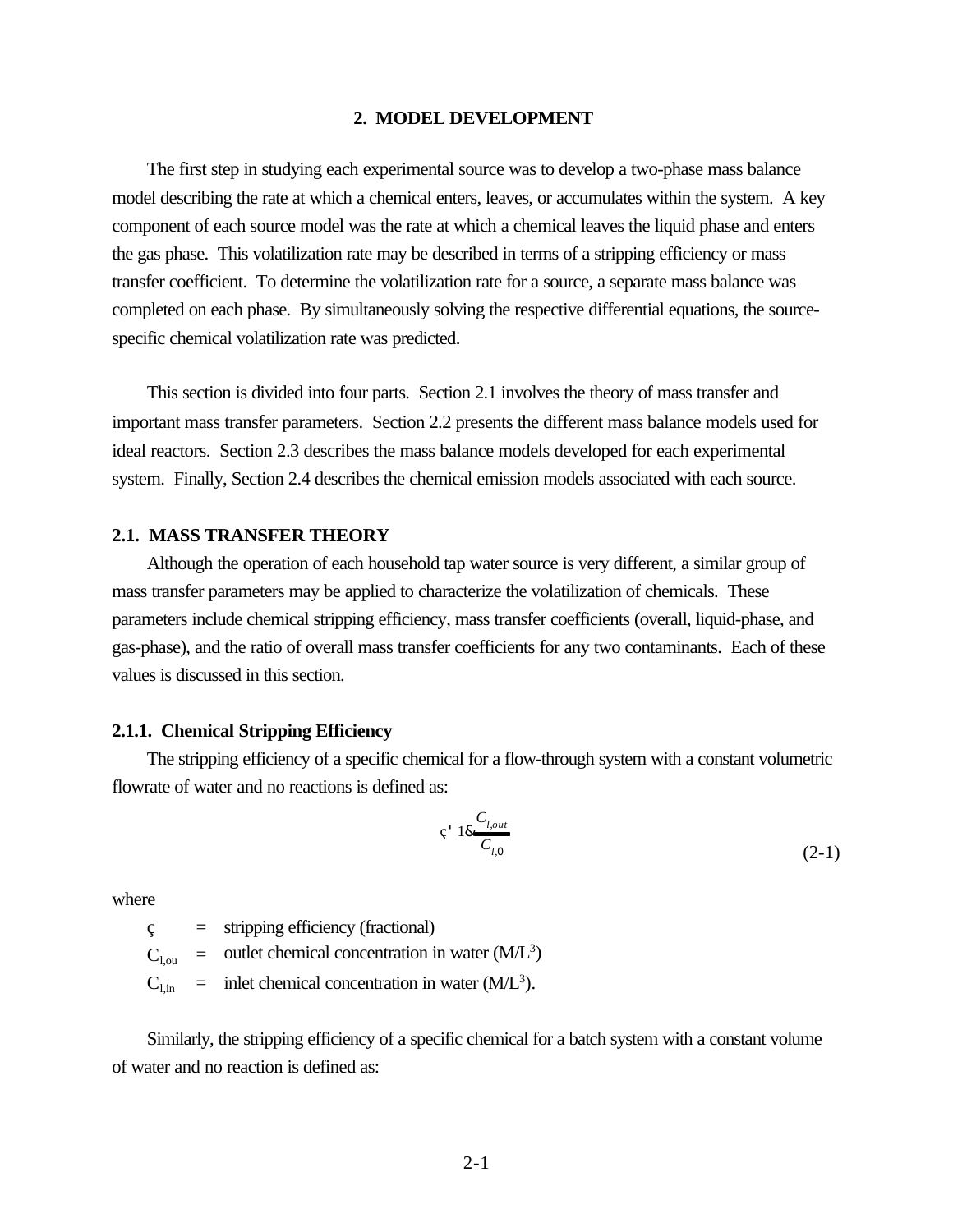#### **2. MODEL DEVELOPMENT**

The first step in studying each experimental source was to develop a two-phase mass balance model describing the rate at which a chemical enters, leaves, or accumulates within the system. A key component of each source model was the rate at which a chemical leaves the liquid phase and enters the gas phase. This volatilization rate may be described in terms of a stripping efficiency or mass transfer coefficient. To determine the volatilization rate for a source, a separate mass balance was completed on each phase. By simultaneously solving the respective differential equations, the sourcespecific chemical volatilization rate was predicted.

This section is divided into four parts. Section 2.1 involves the theory of mass transfer and important mass transfer parameters. Section 2.2 presents the different mass balance models used for ideal reactors. Section 2.3 describes the mass balance models developed for each experimental system. Finally, Section 2.4 describes the chemical emission models associated with each source.

#### **2.1. MASS TRANSFER THEORY**

Although the operation of each household tap water source is very different, a similar group of mass transfer parameters may be applied to characterize the volatilization of chemicals. These parameters include chemical stripping efficiency, mass transfer coefficients (overall, liquid-phase, and gas-phase), and the ratio of overall mass transfer coefficients for any two contaminants. Each of these values is discussed in this section.

#### **2.1.1. Chemical Stripping Efficiency**

The stripping efficiency of a specific chemical for a flow-through system with a constant volumetric flowrate of water and no reactions is defined as:

$$
c' 18 \frac{C_{l,out}}{C_{l,0}}
$$
 (2-1)

where

 $\varsigma$  = stripping efficiency (fractional)

 $C_{1, \text{ou}}$  = outlet chemical concentration in water  $(M/L^3)$ 

 $C_{1, in}$  = inlet chemical concentration in water (M/L<sup>3</sup>).

Similarly, the stripping efficiency of a specific chemical for a batch system with a constant volume of water and no reaction is defined as: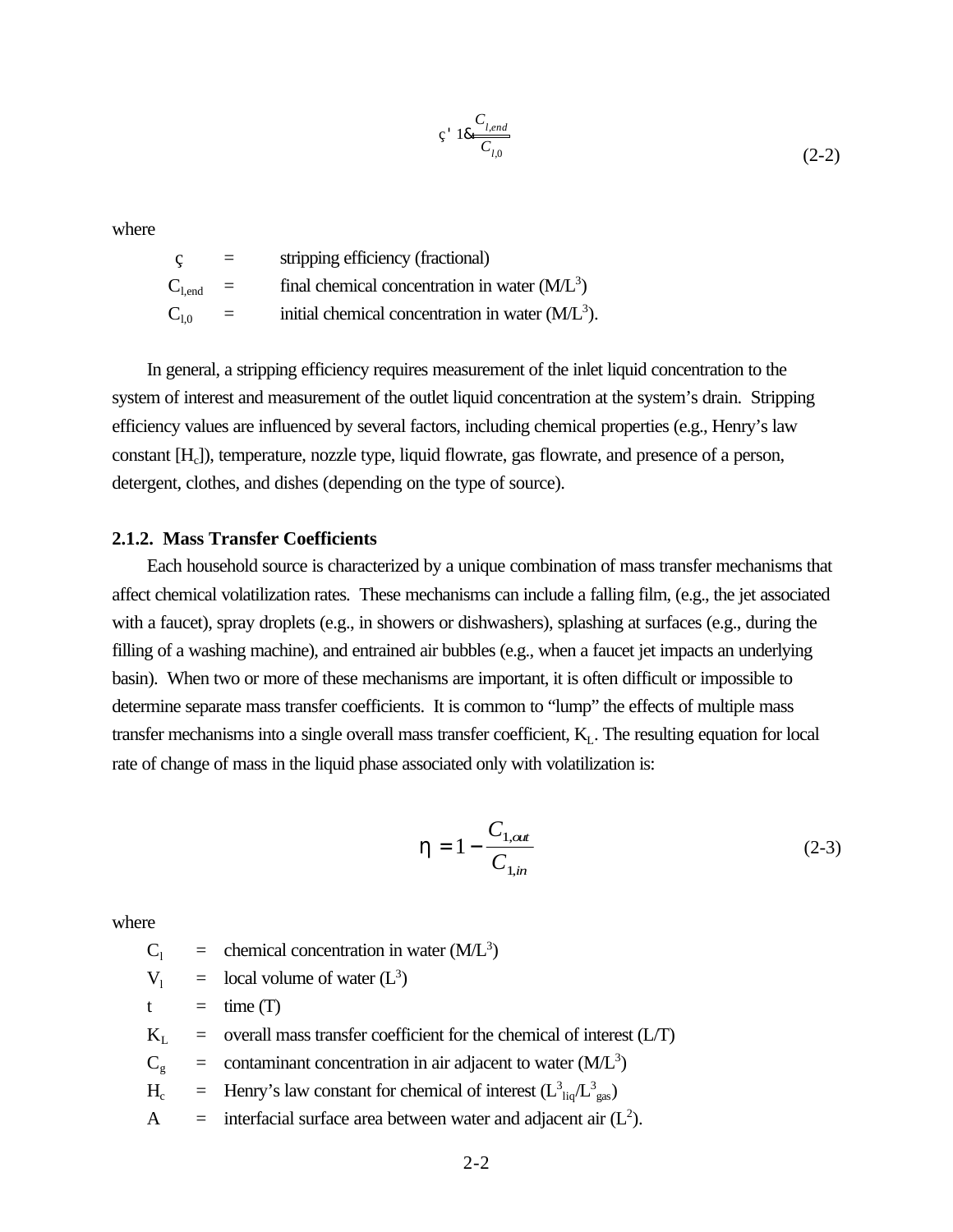$$
\varsigma \cdot 18 \frac{C_{l,end}}{C_{l,0}} \tag{2-2}
$$

where

 ç = stripping efficiency (fractional)  $C_{1,end}$  = final chemical concentration in water  $(M/L^3)$  $C_{1,0}$  = initial chemical concentration in water (M/L<sup>3</sup>).

In general, a stripping efficiency requires measurement of the inlet liquid concentration to the system of interest and measurement of the outlet liquid concentration at the system's drain. Stripping efficiency values are influenced by several factors, including chemical properties (e.g., Henry's law constant [H<sub>c</sub>]), temperature, nozzle type, liquid flowrate, gas flowrate, and presence of a person, detergent, clothes, and dishes (depending on the type of source).

## **2.1.2. Mass Transfer Coefficients**

Each household source is characterized by a unique combination of mass transfer mechanisms that affect chemical volatilization rates. These mechanisms can include a falling film, (e.g., the jet associated with a faucet), spray droplets (e.g., in showers or dishwashers), splashing at surfaces (e.g., during the filling of a washing machine), and entrained air bubbles (e.g., when a faucet jet impacts an underlying basin). When two or more of these mechanisms are important, it is often difficult or impossible to determine separate mass transfer coefficients. It is common to "lump" the effects of multiple mass transfer mechanisms into a single overall mass transfer coefficient,  $K<sub>L</sub>$ . The resulting equation for local rate of change of mass in the liquid phase associated only with volatilization is:

$$
h = 1 - \frac{C_{1, \text{out}}}{C_{1, \text{in}}} \tag{2-3}
$$

where

 $C_1$  = chemical concentration in water (M/L<sup>3</sup>)

- $V_1$  = local volume of water (L<sup>3</sup>)
- $t = \text{time (T)}$
- $K<sub>L</sub>$  = overall mass transfer coefficient for the chemical of interest (L/T)
- $C_g$  = contaminant concentration in air adjacent to water (M/L<sup>3</sup>)
- $H_c$  = Henry's law constant for chemical of interest  $(L_{liq}^3/L_{gas}^3)$
- A  $=$  interfacial surface area between water and adjacent air  $(L<sup>2</sup>)$ .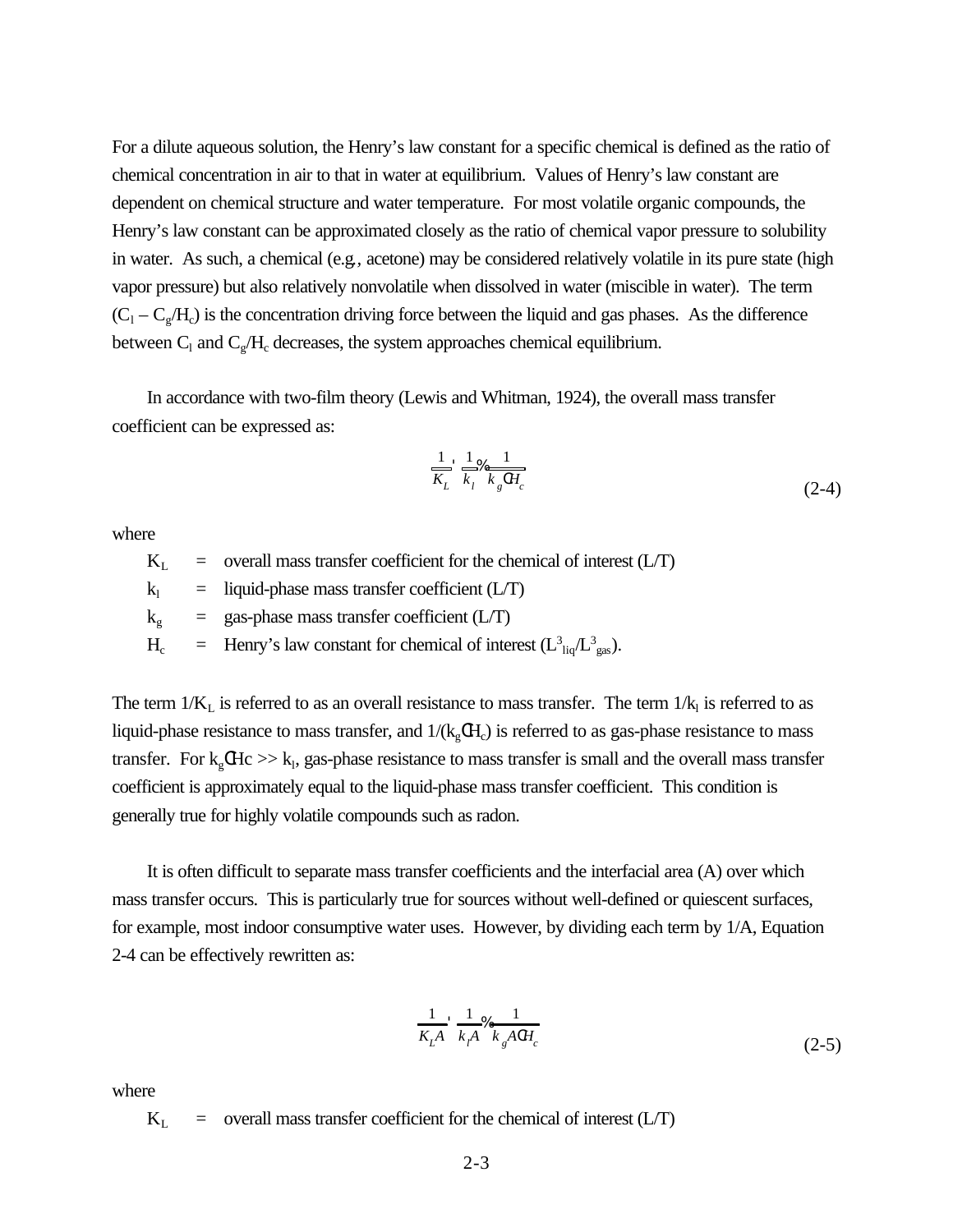For a dilute aqueous solution, the Henry's law constant for a specific chemical is defined as the ratio of chemical concentration in air to that in water at equilibrium. Values of Henry's law constant are dependent on chemical structure and water temperature. For most volatile organic compounds, the Henry's law constant can be approximated closely as the ratio of chemical vapor pressure to solubility in water. As such, a chemical (e.g*.,* acetone) may be considered relatively volatile in its pure state (high vapor pressure) but also relatively nonvolatile when dissolved in water (miscible in water). The term  $(C_1 - C_g/H_c)$  is the concentration driving force between the liquid and gas phases. As the difference between  $C_1$  and  $C_g/H_c$  decreases, the system approaches chemical equilibrium.

In accordance with two-film theory (Lewis and Whitman, 1924), the overall mass transfer coefficient can be expressed as:

$$
\frac{1}{K_L} \frac{1}{k_l} \frac{1}{k_g \Omega_c} \frac{1}{k_g \Omega_c} \tag{2-4}
$$

where

 $K<sub>L</sub>$  = overall mass transfer coefficient for the chemical of interest (L/T)

 $k_1$  = liquid-phase mass transfer coefficient (L/T)

 $k_e$  = gas-phase mass transfer coefficient (L/T)

 $H_c$  = Henry's law constant for chemical of interest  $(L_{liq}^3/L_{gas}^3)$ .

The term  $1/K_L$  is referred to as an overall resistance to mass transfer. The term  $1/K_l$  is referred to as liquid-phase resistance to mass transfer, and  $1/(k_gCH_c)$  is referred to as gas-phase resistance to mass transfer. For  $k_g$ CHc  $\gg k_l$ , gas-phase resistance to mass transfer is small and the overall mass transfer coefficient is approximately equal to the liquid-phase mass transfer coefficient. This condition is generally true for highly volatile compounds such as radon.

It is often difficult to separate mass transfer coefficients and the interfacial area (A) over which mass transfer occurs. This is particularly true for sources without well-defined or quiescent surfaces*,* for example, most indoor consumptive water uses. However, by dividing each term by 1/A, Equation 2-4 can be effectively rewritten as:

$$
\frac{1}{K_{L}A} \frac{1}{k_{f}A} \frac{1}{k_{g}ACH_{c}}
$$
\n(2-5)

where

 $K_L$  = overall mass transfer coefficient for the chemical of interest (L/T)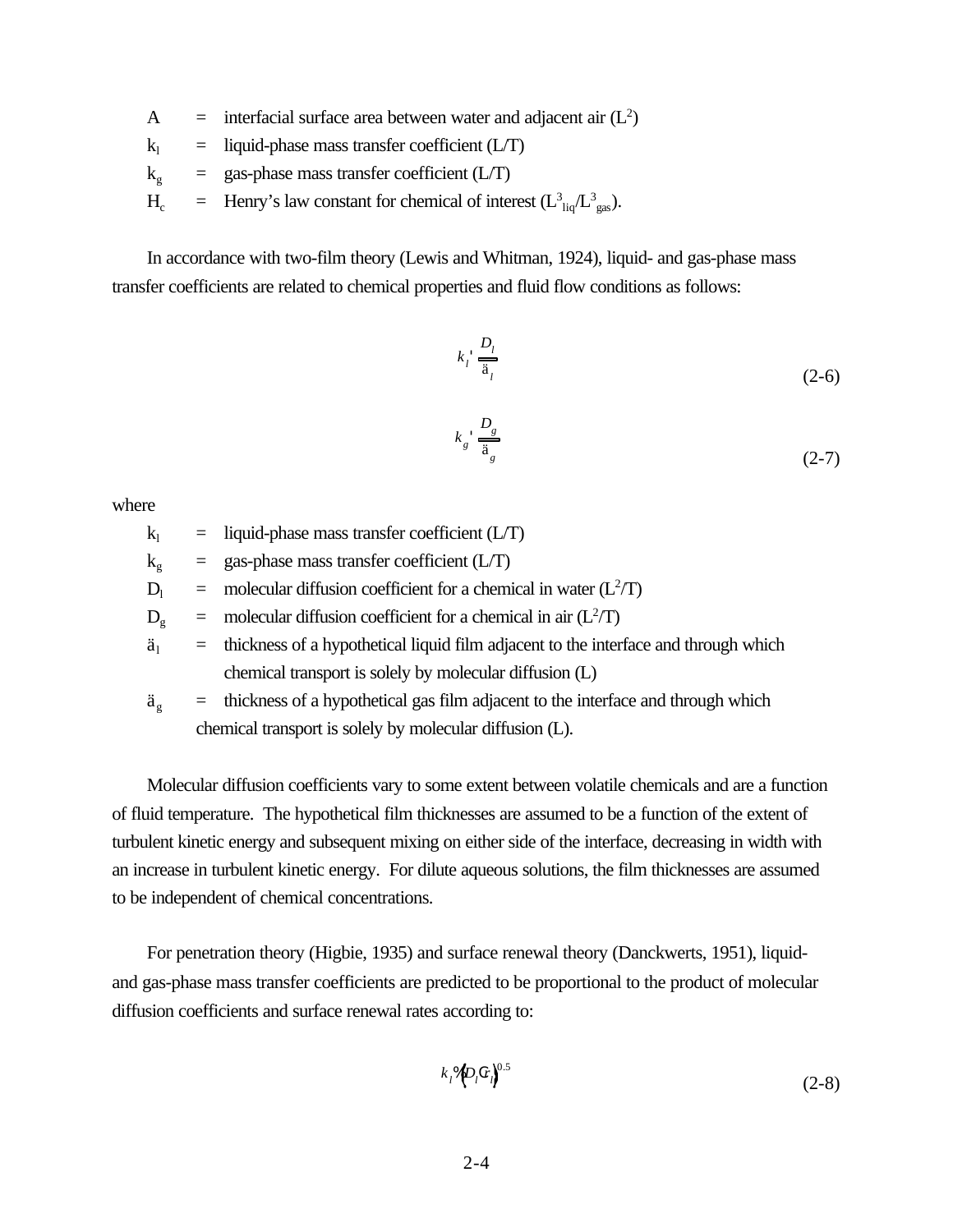- A = interfacial surface area between water and adjacent air  $(L<sup>2</sup>)$
- $k_1$  = liquid-phase mass transfer coefficient (L/T)
- $k_e$  = gas-phase mass transfer coefficient (L/T)
- $H_c$  = Henry's law constant for chemical of interest  $(L_{liq}^3/L_{gas}^3)$ .

In accordance with two-film theory (Lewis and Whitman, 1924), liquid- and gas-phase mass transfer coefficients are related to chemical properties and fluid flow conditions as follows:

$$
k_i \frac{D_i}{\ddot{a}_i} \tag{2-6}
$$

$$
k_g \frac{D_g}{\ddot{a}_g} \tag{2-7}
$$

where

- $k_1$  = liquid-phase mass transfer coefficient (L/T)
- $k_g$  = gas-phase mass transfer coefficient (L/T)

 $D_1$  = molecular diffusion coefficient for a chemical in water ( $L^2/T$ )

 $D_g$  = molecular diffusion coefficient for a chemical in air ( $L^2/T$ )

- $\ddot{a}_1$  = thickness of a hypothetical liquid film adjacent to the interface and through which chemical transport is solely by molecular diffusion (L)
- $\ddot{a}_g$  = thickness of a hypothetical gas film adjacent to the interface and through which chemical transport is solely by molecular diffusion (L).

Molecular diffusion coefficients vary to some extent between volatile chemicals and are a function of fluid temperature. The hypothetical film thicknesses are assumed to be a function of the extent of turbulent kinetic energy and subsequent mixing on either side of the interface, decreasing in width with an increase in turbulent kinetic energy. For dilute aqueous solutions, the film thicknesses are assumed to be independent of chemical concentrations.

For penetration theory (Higbie, 1935) and surface renewal theory (Danckwerts, 1951), liquidand gas-phase mass transfer coefficients are predicted to be proportional to the product of molecular diffusion coefficients and surface renewal rates according to:

$$
k_i \mathcal{A} D_i c r_i \mathbf{e}^{0.5} \tag{2-8}
$$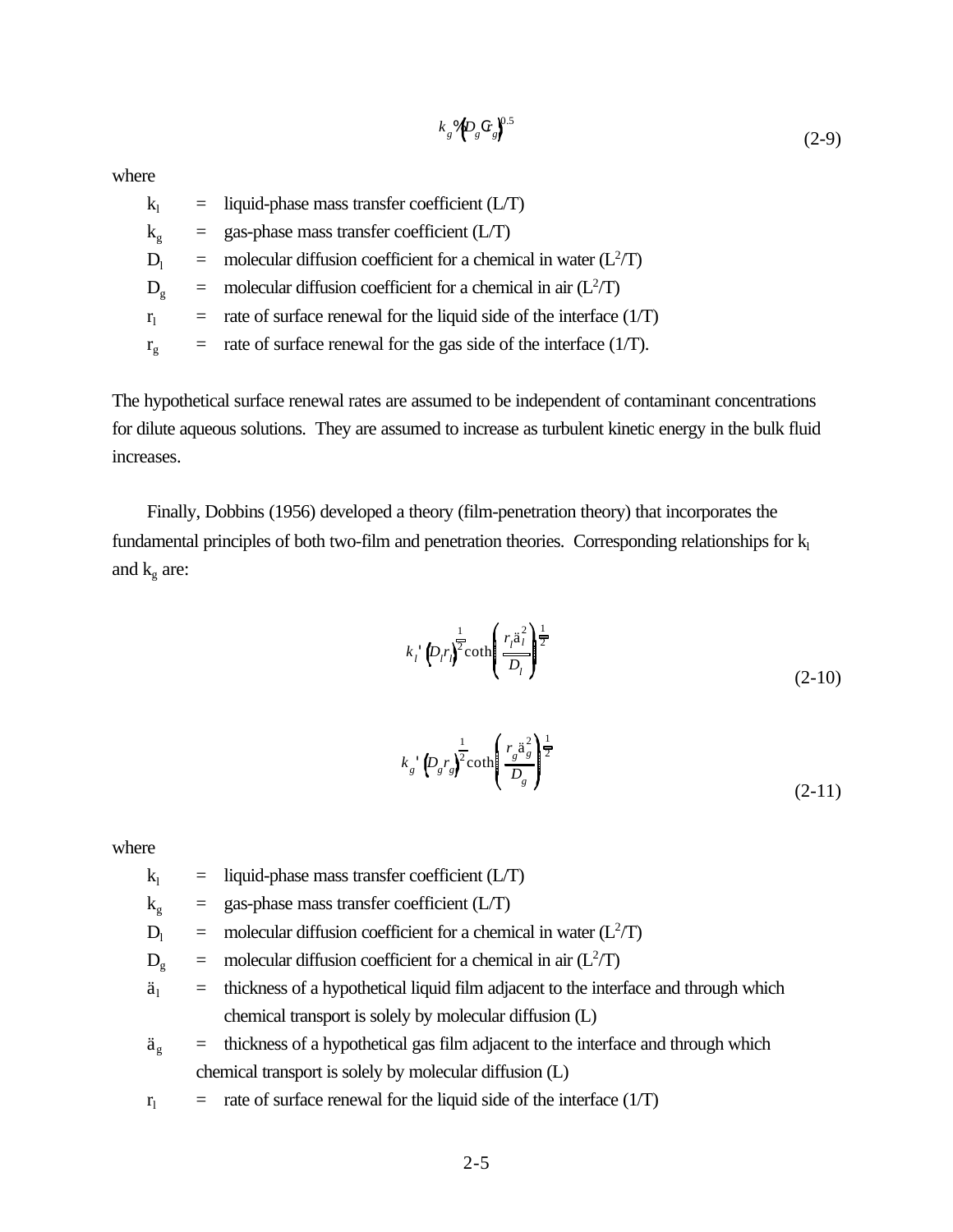$$
k_g\sqrt[6]{D_g C_r}g^{0.5} \tag{2-9}
$$

where

| $k_1$          | $=$ liquid-phase mass transfer coefficient (L/T)                         |
|----------------|--------------------------------------------------------------------------|
| $k_{\rm g}$    | $=$ gas-phase mass transfer coefficient (L/T)                            |
| $D_1$          | $=$ molecular diffusion coefficient for a chemical in water ( $L^2/T$ )  |
| $D_{\rm g}$    | = molecular diffusion coefficient for a chemical in air $(L^2/T)$        |
| r <sub>1</sub> | $=$ rate of surface renewal for the liquid side of the interface $(1/T)$ |
| $r_{\rm g}$    | $=$ rate of surface renewal for the gas side of the interface (1/T).     |

The hypothetical surface renewal rates are assumed to be independent of contaminant concentrations for dilute aqueous solutions. They are assumed to increase as turbulent kinetic energy in the bulk fluid increases.

Finally, Dobbins (1956) developed a theory (film-penetration theory) that incorporates the fundamental principles of both two-film and penetration theories. Corresponding relationships for  $k_1$ and  $k_g$  are:

$$
k_i \left\langle D_i r_i \right\rangle^{\frac{1}{2}} \coth\left(\frac{r_i \ddot{a}_i^2}{D_i}\right)^{\frac{1}{2}} \tag{2-10}
$$

$$
k_g \left( D_g r_g \right)^{\frac{1}{2}} \coth\left( \frac{r_g \ddot{a}_g^2}{D_g} \right)^{\frac{1}{2}} \tag{2-11}
$$

where

- $k_1$  = liquid-phase mass transfer coefficient (L/T)
- $k_g$  = gas-phase mass transfer coefficient (L/T)
- $D_1$  = molecular diffusion coefficient for a chemical in water ( $L^2/T$ )
- $D_g$  = molecular diffusion coefficient for a chemical in air ( $L^2/T$ )
- $\ddot{a}_1$  = thickness of a hypothetical liquid film adjacent to the interface and through which chemical transport is solely by molecular diffusion (L)
- $\ddot{a}_{g}$  = thickness of a hypothetical gas film adjacent to the interface and through which chemical transport is solely by molecular diffusion (L)
- $r_1$  = rate of surface renewal for the liquid side of the interface (1/T)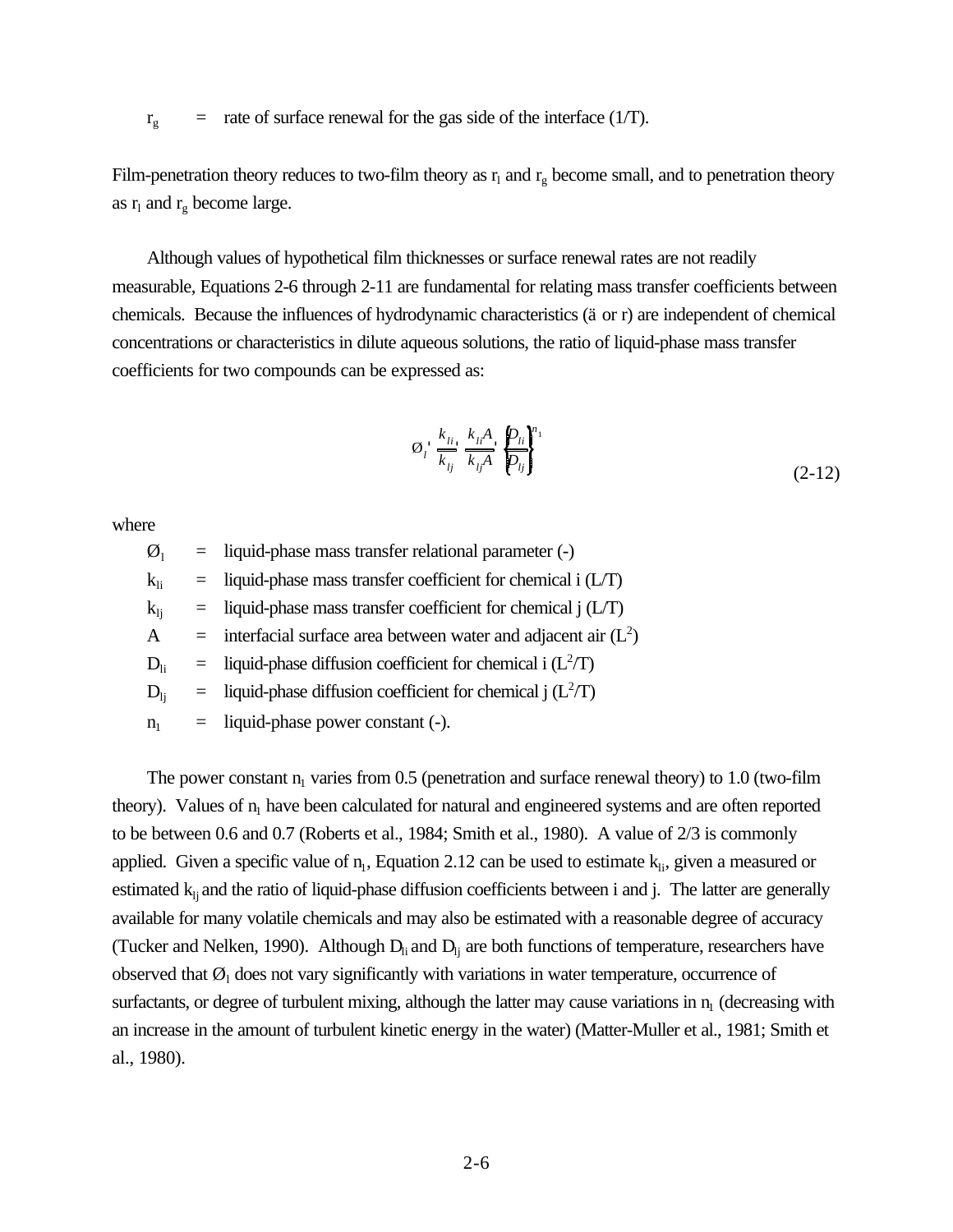$r_g$  = rate of surface renewal for the gas side of the interface (1/T).

Film-penetration theory reduces to two-film theory as  $r_1$  and  $r_g$  become small, and to penetration theory as  $r_1$  and  $r_g$  become large.

Although values of hypothetical film thicknesses or surface renewal rates are not readily measurable, Equations 2-6 through 2-11 are fundamental for relating mass transfer coefficients between chemicals. Because the influences of hydrodynamic characteristics (ä or r) are independent of chemical concentrations or characteristics in dilute aqueous solutions, the ratio of liquid-phase mass transfer coefficients for two compounds can be expressed as:

$$
\varnothing_i \xrightarrow[k_{ij}]{k_{li}} \frac{k_{li}A}{k_{lj}A} \xrightarrow[p_{ij}]^{n_1}
$$
\n
$$
(2-12)
$$

where

 $\varnothing_1$  = liquid-phase mass transfer relational parameter (-)  $k_{li}$  = liquid-phase mass transfer coefficient for chemical i (L/T)  $k_{li}$  = liquid-phase mass transfer coefficient for chemical j (L/T) A = interfacial surface area between water and adjacent air  $(L<sup>2</sup>)$  $D_{li}$  = liquid-phase diffusion coefficient for chemical i ( $L^2/T$ )  $D_{lj}$  = liquid-phase diffusion coefficient for chemical j ( $L^2/T$ )  $n_1$  = liquid-phase power constant (-).

The power constant  $n_1$  varies from 0.5 (penetration and surface renewal theory) to 1.0 (two-film theory). Values of  $n_1$  have been calculated for natural and engineered systems and are often reported to be between 0.6 and 0.7 (Roberts et al., 1984; Smith et al., 1980). A value of 2/3 is commonly applied. Given a specific value of  $n_1$ , Equation 2.12 can be used to estimate  $k_{1i}$ , given a measured or estimated  $k_i$  and the ratio of liquid-phase diffusion coefficients between i and j. The latter are generally available for many volatile chemicals and may also be estimated with a reasonable degree of accuracy (Tucker and Nelken, 1990). Although  $D<sub>li</sub>$  and  $D<sub>lj</sub>$  are both functions of temperature, researchers have observed that  $\mathcal{O}_1$  does not vary significantly with variations in water temperature, occurrence of surfactants, or degree of turbulent mixing, although the latter may cause variations in  $n<sub>1</sub>$  (decreasing with an increase in the amount of turbulent kinetic energy in the water) (Matter-Muller et al., 1981; Smith et al., 1980).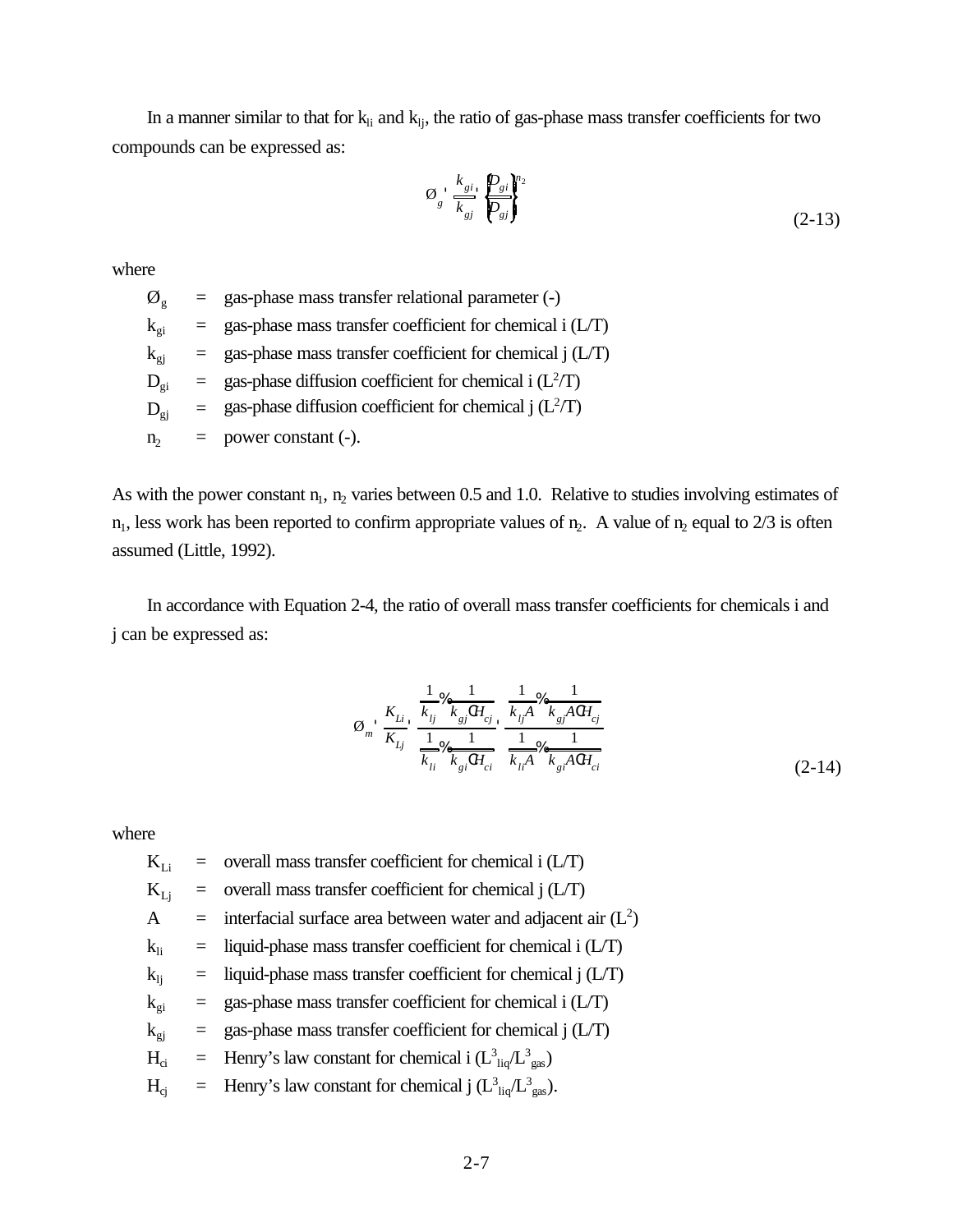In a manner similar to that for  $k_{li}$  and  $k_{lj}$ , the ratio of gas-phase mass transfer coefficients for two compounds can be expressed as:

$$
\varnothing_s \xrightarrow[k_{si}]{k_{gi}} \frac{\varnothing_{si}}{\varnothing_{gi}}\bigg\}^{\eta_2} \tag{2-13}
$$

where

 $\varnothing$ <sub>g</sub> = gas-phase mass transfer relational parameter (-)  $k_{\text{e}i}$  = gas-phase mass transfer coefficient for chemical i (L/T)  $k_{gi}$  = gas-phase mass transfer coefficient for chemical j (L/T)  $D_{gi}$  = gas-phase diffusion coefficient for chemical i ( $L^2/T$ )  $D_{\text{gj}}$  = gas-phase diffusion coefficient for chemical j ( $L^2/T$ )  $n_2$  = power constant (-).

As with the power constant  $n_1$ ,  $n_2$  varies between 0.5 and 1.0. Relative to studies involving estimates of  $n_1$ , less work has been reported to confirm appropriate values of  $n_2$ . A value of  $n_2$  equal to 2/3 is often assumed (Little, 1992).

In accordance with Equation 2-4, the ratio of overall mass transfer coefficients for chemicals i and j can be expressed as:

$$
\emptyset_m \cdot \frac{K_{Li}}{K_{Lj}} \cdot \frac{\frac{1}{k_{lj}} \mathcal{K}_{kj} \cdot H_{cj}}{\frac{1}{k_{li}} \mathcal{K}_{gj} \cdot H_{ci}} \cdot \frac{\frac{1}{k_{lj}A} \mathcal{K}_{k_{gl}} \cdot \frac{1}{k_{gl}A \cdot H_{cj}}}{\frac{1}{k_{li}A} \mathcal{K}_{gj} \cdot \frac{1}{k_{gl}A \cdot H_{ci}}}
$$
\n
$$
(2-14)
$$

where

 $K_{Li}$  = overall mass transfer coefficient for chemical i (L/T)  $K_{Li}$  = overall mass transfer coefficient for chemical j (L/T) A = interfacial surface area between water and adjacent air  $(L<sup>2</sup>)$  $k_{li}$  = liquid-phase mass transfer coefficient for chemical i (L/T)  $k_{li}$  = liquid-phase mass transfer coefficient for chemical j (L/T)  $k_{gi}$  = gas-phase mass transfer coefficient for chemical i (L/T)  $k_{gi}$  = gas-phase mass transfer coefficient for chemical j (L/T)  $H_{ci}$  = Henry's law constant for chemical i  $(L_{liq}^3/L_{gas}^3)$  $H_{cj}$  = Henry's law constant for chemical j  $(L_{liq}^3/L_{gas}^3)$ .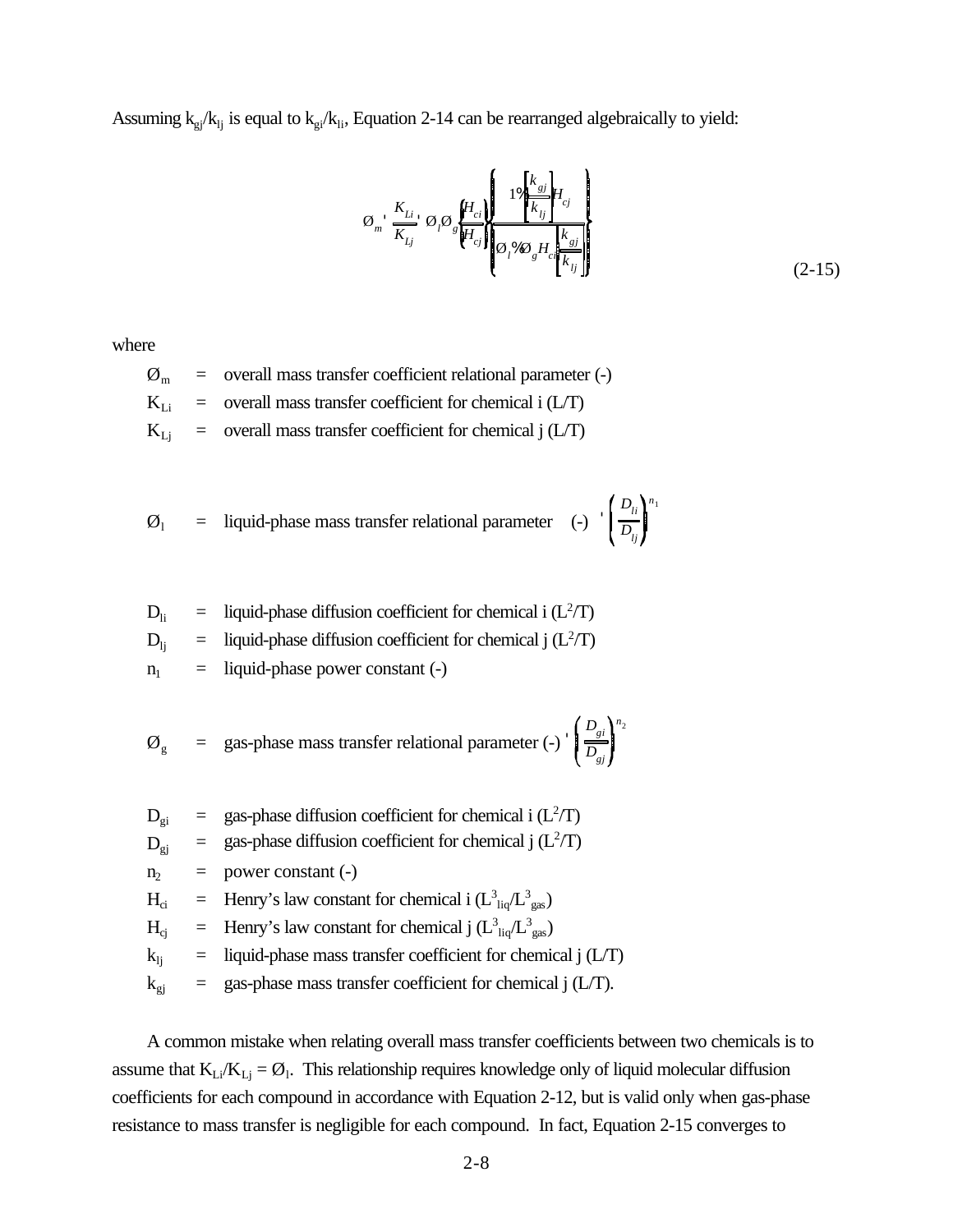Assuming  $k_{gi}/k_{lj}$  is equal to  $k_{gi}/k_{li}$ , Equation 2-14 can be rearranged algebraically to yield:

$$
\varnothing_{m} \stackrel{K_{Li}}{\overline{K_{L j}}} \varnothing_{i} \varnothing_{s} \stackrel{\left\{ H_{ci} \right\}}{\left\{ H_{cj} \right\}} \stackrel{1\% \stackrel{k_{sj}}{\overline{k_{lj}}} H_{cj}}{\left\{ \varnothing_{i} \otimes \varnothing_{s} H_{ci} \stackrel{k_{sj}}{\overline{k_{lj}}} \right\}} \tag{2-15}
$$

where

 $\mathcal{O}_m$  = overall mass transfer coefficient relational parameter (-)  $K_{Li}$  = overall mass transfer coefficient for chemical i (L/T)  $K_{Li}$  = overall mass transfer coefficient for chemical j (L/T)

$$
\emptyset_1
$$
 = liquid-phase mass transfer relational parameter (-)  $\left(\frac{D_{li}}{D_{lj}}\right)^{n_1}$ 

- $D_{li}$  = liquid-phase diffusion coefficient for chemical i ( $L^2/T$ )
- $D_{lj}$  = liquid-phase diffusion coefficient for chemical j ( $L^2/T$ )
- $n_1$  = liquid-phase power constant (-)

 $\emptyset_g$  = gas-phase mass transfer relational parameter (-) *Dgi Dgj n* 2

- $D_{gi}$  = gas-phase diffusion coefficient for chemical i ( $L^2/T$ )
- $D_{\text{gj}}$  = gas-phase diffusion coefficient for chemical j ( $L^2/T$ )
- $n_2$  = power constant (-)
- $H_{ci}$  = Henry's law constant for chemical i  $(L_{liq}^3/L_{gas}^3)$
- $H_{cj}$  = Henry's law constant for chemical j  $(L_{liq}^3/L_{gas}^3)$
- $k_{li}$  = liquid-phase mass transfer coefficient for chemical j (L/T)
- $k_{gi}$  = gas-phase mass transfer coefficient for chemical j (L/T).

A common mistake when relating overall mass transfer coefficients between two chemicals is to assume that  $K_{Li}/K_{Lj} = \emptyset$ . This relationship requires knowledge only of liquid molecular diffusion coefficients for each compound in accordance with Equation 2-12, but is valid only when gas-phase resistance to mass transfer is negligible for each compound. In fact, Equation 2-15 converges to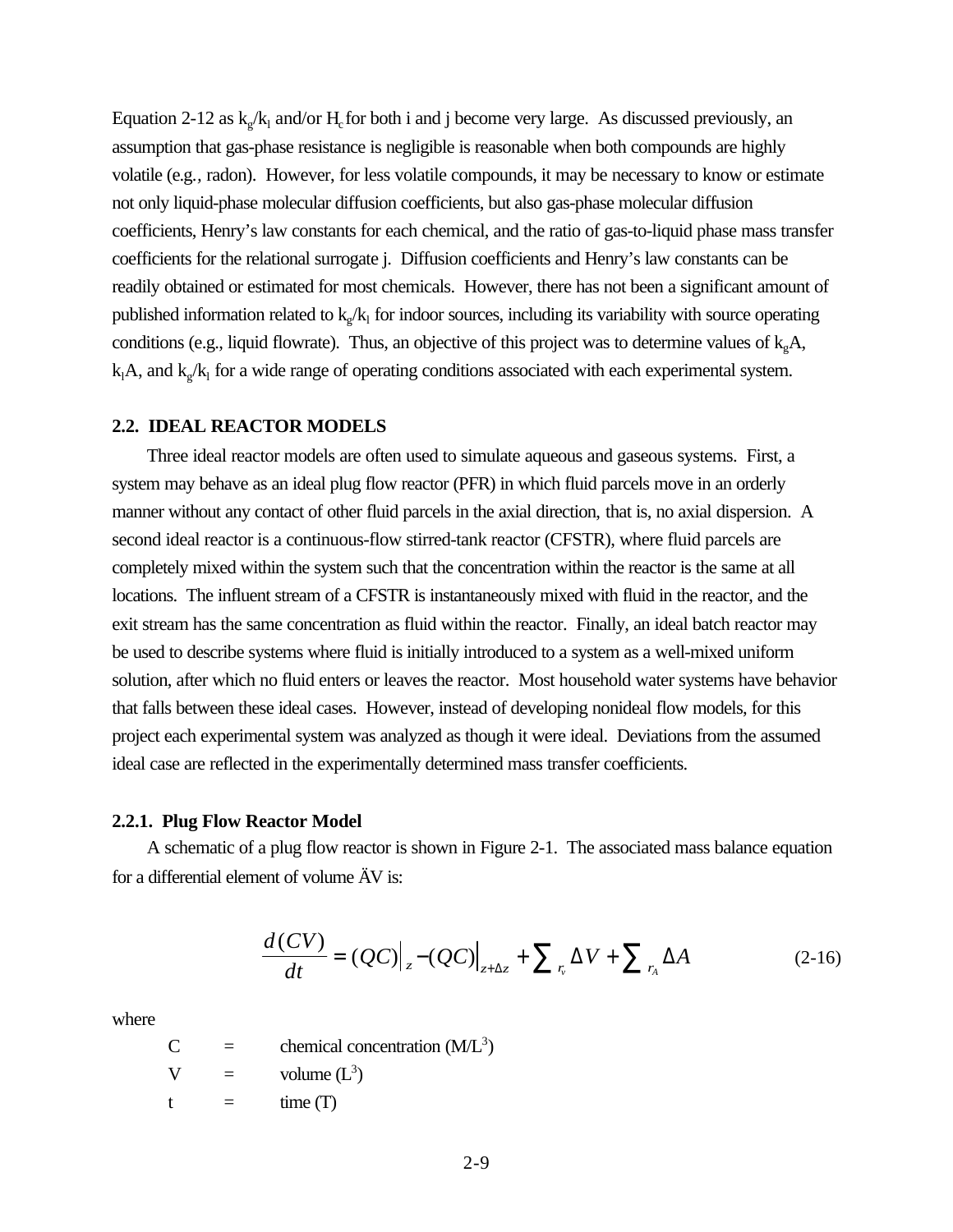Equation 2-12 as  $k_g/k_l$  and/or  $H_c$  for both i and j become very large. As discussed previously, an assumption that gas-phase resistance is negligible is reasonable when both compounds are highly volatile (e.g.*,* radon). However, for less volatile compounds, it may be necessary to know or estimate not only liquid-phase molecular diffusion coefficients, but also gas-phase molecular diffusion coefficients, Henry's law constants for each chemical, and the ratio of gas-to-liquid phase mass transfer coefficients for the relational surrogate j. Diffusion coefficients and Henry's law constants can be readily obtained or estimated for most chemicals. However, there has not been a significant amount of published information related to  $k_g / k_1$  for indoor sources, including its variability with source operating conditions (e.g., liquid flowrate). Thus, an objective of this project was to determine values of  $k_{\circ}A$ ,  $k_1A$ , and  $k_g/k_1$  for a wide range of operating conditions associated with each experimental system.

#### **2.2. IDEAL REACTOR MODELS**

Three ideal reactor models are often used to simulate aqueous and gaseous systems. First, a system may behave as an ideal plug flow reactor (PFR) in which fluid parcels move in an orderly manner without any contact of other fluid parcels in the axial direction, that is, no axial dispersion. A second ideal reactor is a continuous-flow stirred-tank reactor (CFSTR), where fluid parcels are completely mixed within the system such that the concentration within the reactor is the same at all locations. The influent stream of a CFSTR is instantaneously mixed with fluid in the reactor, and the exit stream has the same concentration as fluid within the reactor. Finally, an ideal batch reactor may be used to describe systems where fluid is initially introduced to a system as a well-mixed uniform solution, after which no fluid enters or leaves the reactor. Most household water systems have behavior that falls between these ideal cases. However, instead of developing nonideal flow models, for this project each experimental system was analyzed as though it were ideal. Deviations from the assumed ideal case are reflected in the experimentally determined mass transfer coefficients.

#### **2.2.1. Plug Flow Reactor Model**

A schematic of a plug flow reactor is shown in Figure 2-1. The associated mass balance equation for a differential element of volume ÄV is:

$$
\frac{d(CV)}{dt} = (QC)\big|_{z^-}(QC)\big|_{z+\Delta z} + \sum_{r_a} \Delta V + \sum_{r_A} \Delta A \tag{2-16}
$$

where

 $C =$  chemical concentration  $(M/L<sup>3</sup>)$  $V =$  volume  $(L^3)$  $t = \text{time (T)}$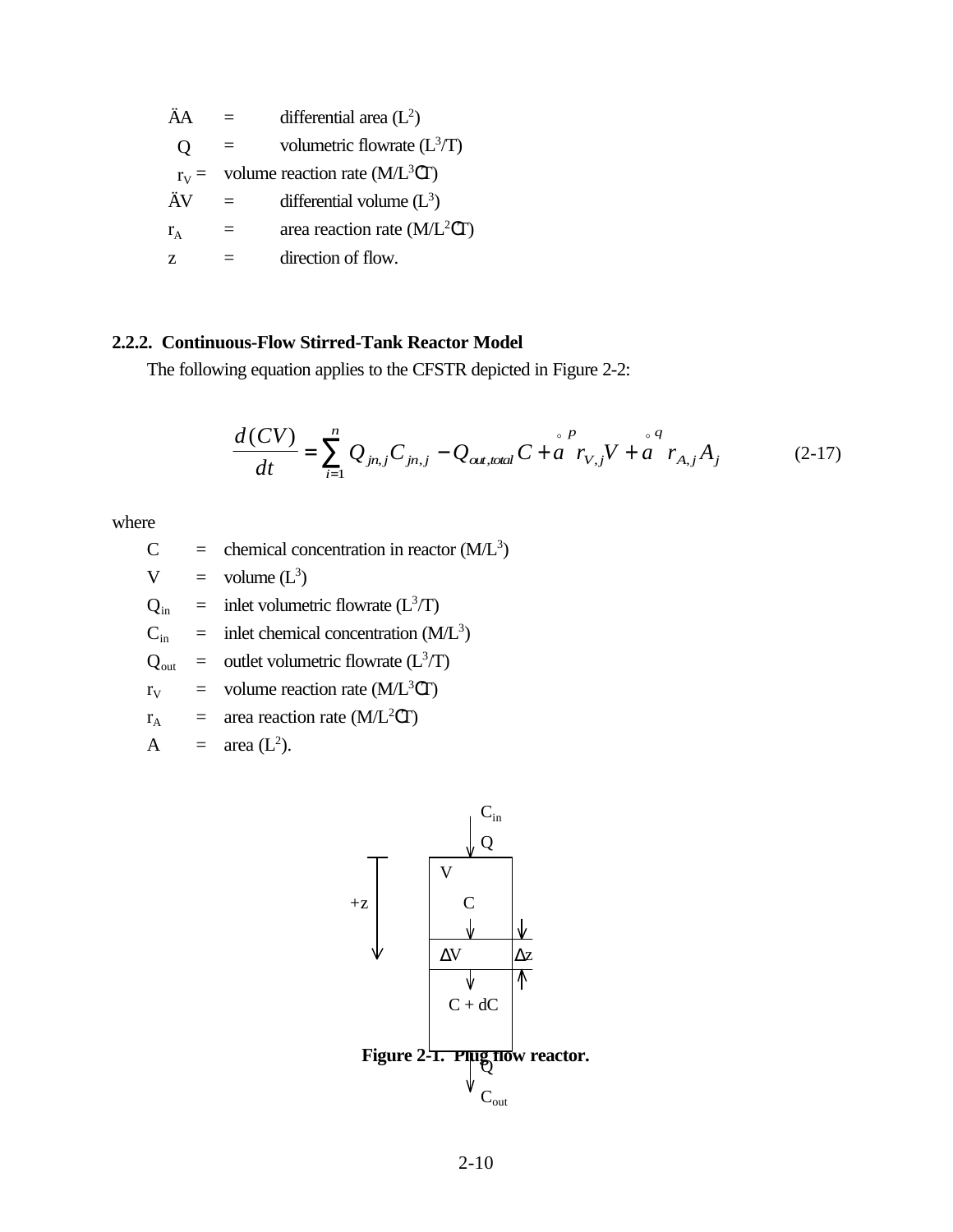$\ddot{A}A$  = differential area (L<sup>2</sup>)  $Q =$  volumetric flowrate  $(L^3/T)$  $r_V$  = volume reaction rate (M/L<sup>3</sup>CT)  $\ddot{A}V =$  differential volume  $(L^3)$  $r_A$  = area reaction rate (M/L<sup>2</sup>CT)  $z =$  direction of flow.

# **2.2.2. Continuous-Flow Stirred-Tank Reactor Model**

The following equation applies to the CFSTR depicted in Figure 2-2:

$$
\frac{d(CV)}{dt} = \sum_{i=1}^{n} Q_{jn,j} C_{jn,j} - Q_{\text{out,total}} C + a^{\text{P}} r_{V,j} V + a^{\text{P}} r_{A,j} A_j \tag{2-17}
$$

where

- $C =$  chemical concentration in reactor  $(M/L<sup>3</sup>)$
- $V = \text{volume} (L^3)$

 $Q_{\text{in}}$  = inlet volumetric flowrate  $(L^3/T)$ 

 $C_{\text{in}}$  = inlet chemical concentration (M/L<sup>3</sup>)

$$
Q_{\text{out}} =
$$
 outlet volumetric flowrate  $(L^3/T)$ 

$$
r_V
$$
 = volume reaction rate (M/L<sup>3</sup>CT)

$$
r_A
$$
 = area reaction rate (M/L<sup>2</sup>CT)

$$
A = \text{area } (L^2).
$$

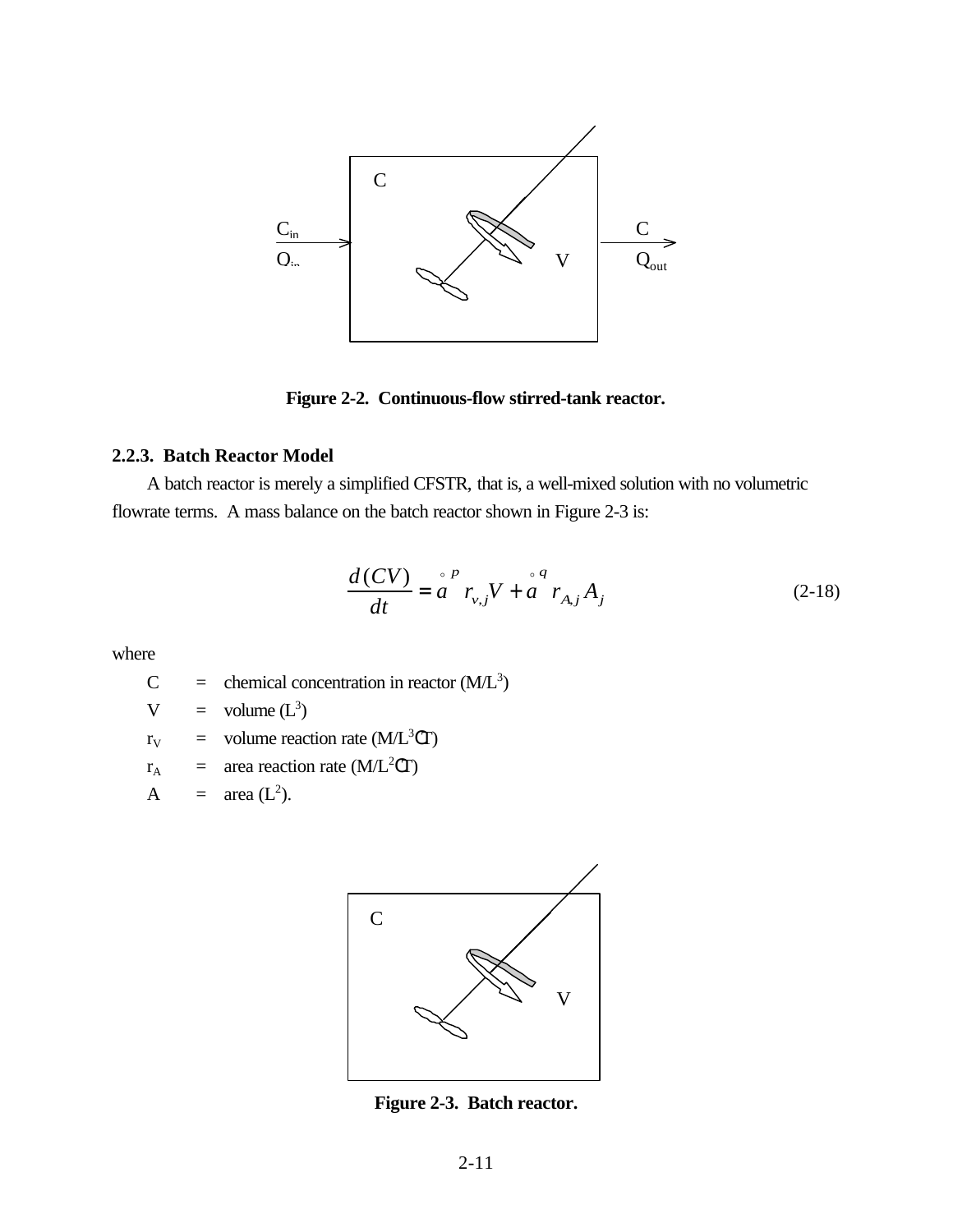

**Figure 2-2. Continuous-flow stirred-tank reactor.**

# **2.2.3. Batch Reactor Model**

A batch reactor is merely a simplified CFSTR, that is, a well-mixed solution with no volumetric flowrate terms. A mass balance on the batch reactor shown in Figure 2-3 is:

$$
\frac{d(CV)}{dt} = \stackrel{\circ}{a}^{P} r_{v,j} V + \stackrel{\circ}{a}^{q} r_{A,j} A_{j}
$$
 (2-18)

where

 $C =$  chemical concentration in reactor  $(M/L<sup>3</sup>)$ 

$$
V = volume (L3)
$$

$$
r_V
$$
 = volume reaction rate (M/L<sup>3</sup>CT)

$$
r_A
$$
 = area reaction rate (M/L<sup>2</sup>CT)

$$
A = \text{area } (L^2).
$$



**Figure 2-3. Batch reactor.**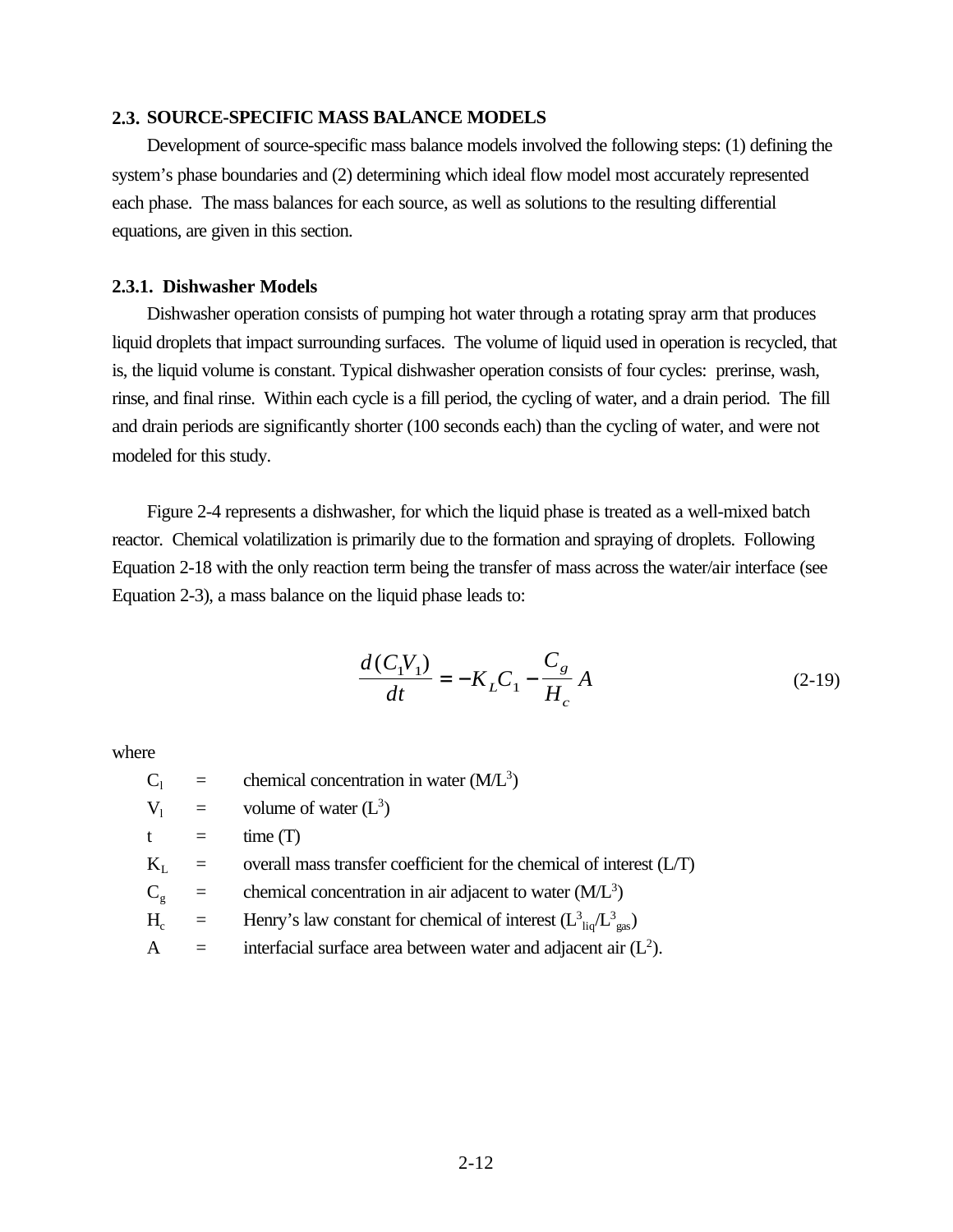## **2.3. SOURCE-SPECIFIC MASS BALANCE MODELS**

Development of source-specific mass balance models involved the following steps: (1) defining the system's phase boundaries and (2) determining which ideal flow model most accurately represented each phase. The mass balances for each source, as well as solutions to the resulting differential equations, are given in this section.

#### **2.3.1. Dishwasher Models**

Dishwasher operation consists of pumping hot water through a rotating spray arm that produces liquid droplets that impact surrounding surfaces. The volume of liquid used in operation is recycled, that is, the liquid volume is constant. Typical dishwasher operation consists of four cycles: prerinse, wash, rinse, and final rinse. Within each cycle is a fill period, the cycling of water, and a drain period. The fill and drain periods are significantly shorter (100 seconds each) than the cycling of water, and were not modeled for this study.

Figure 2-4 represents a dishwasher, for which the liquid phase is treated as a well-mixed batch reactor. Chemical volatilization is primarily due to the formation and spraying of droplets. Following Equation 2-18 with the only reaction term being the transfer of mass across the water/air interface (see Equation 2-3), a mass balance on the liquid phase leads to:

$$
\frac{d(C_1V_1)}{dt} = -K_LC_1 - \frac{C_g}{H_c}A
$$
\n(2-19)

where

 $C_1$  = chemical concentration in water (M/L<sup>3</sup>)  $V_1$  = volume of water  $(L^3)$  $t = \text{time (T)}$  $K_L$  = overall mass transfer coefficient for the chemical of interest (L/T)  $C_g$  = chemical concentration in air adjacent to water (M/L<sup>3</sup>)  $H_c$  = Henry's law constant for chemical of interest  $(L_{liq}^3/L_{gas}^3)$ A  $=$  interfacial surface area between water and adjacent air  $(L<sup>2</sup>)$ .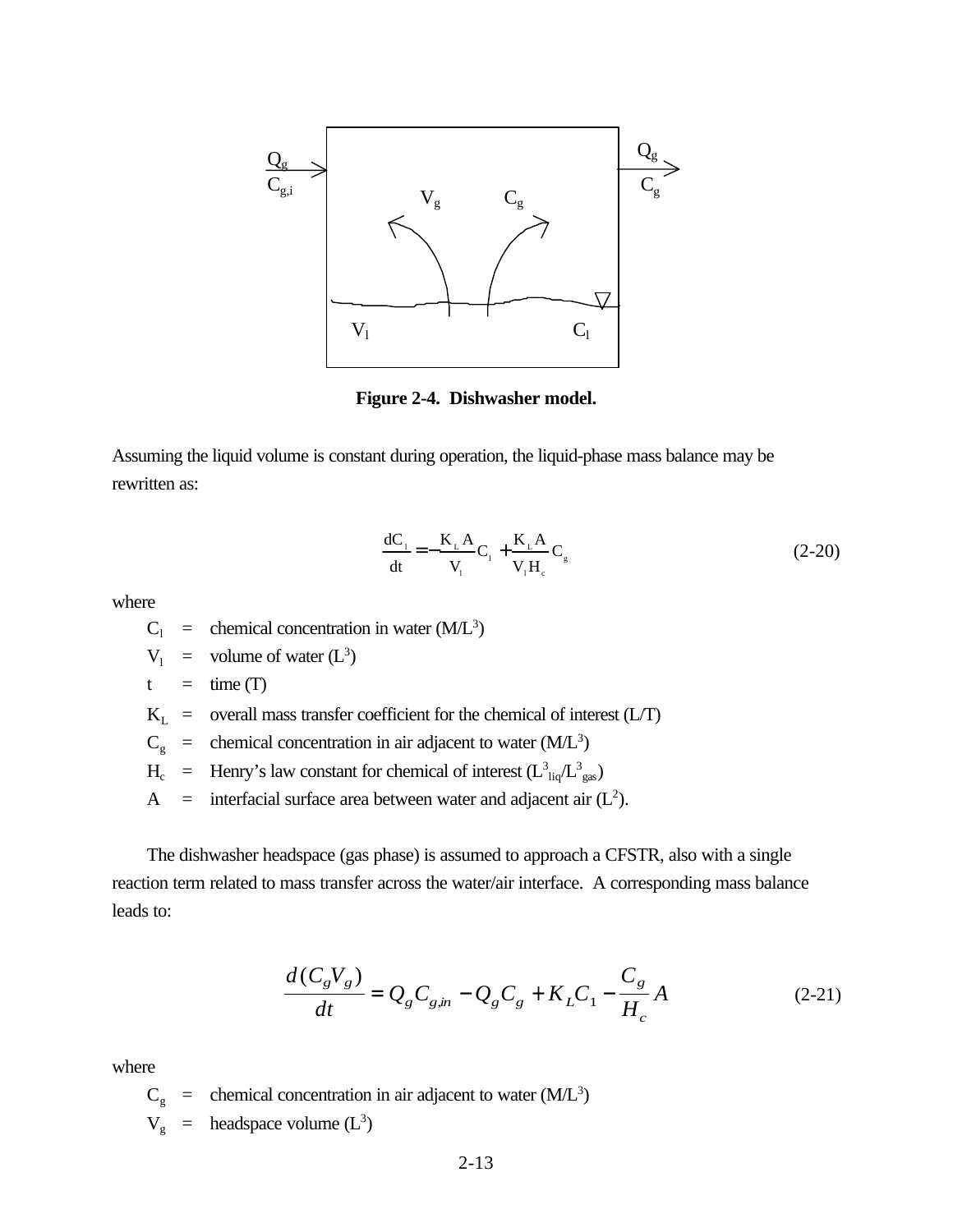

**Figure 2-4. Dishwasher model.**

Assuming the liquid volume is constant during operation, the liquid-phase mass balance may be rewritten as:

$$
\frac{dC_1}{dt} = -\frac{K_L A}{V_1} C_1 + \frac{K_L A}{V_1 H_c} C_g
$$
\n(2-20)

where

 $C_1$  = chemical concentration in water (M/L<sup>3</sup>)

$$
V_1 = \text{volume of water } (L^3)
$$

$$
t = \text{time (T)}
$$

 $K_L$  = overall mass transfer coefficient for the chemical of interest (L/T)

 $C_g$  = chemical concentration in air adjacent to water (M/L<sup>3</sup>)

- $H_c$  = Henry's law constant for chemical of interest  $(L_{liq}^3/L_{gas}^3)$
- A = interfacial surface area between water and adjacent air  $(L<sup>2</sup>)$ .

The dishwasher headspace (gas phase) is assumed to approach a CFSTR, also with a single reaction term related to mass transfer across the water/air interface. A corresponding mass balance leads to:

$$
\frac{d(C_{g}V_{g})}{dt} = Q_{g}C_{gin} - Q_{g}C_{g} + K_{L}C_{1} - \frac{C_{g}}{H_{c}}A
$$
\n(2-21)

where

 $C_g$  = chemical concentration in air adjacent to water (M/L<sup>3</sup>)  $V_g$  = headspace volume  $(L^3)$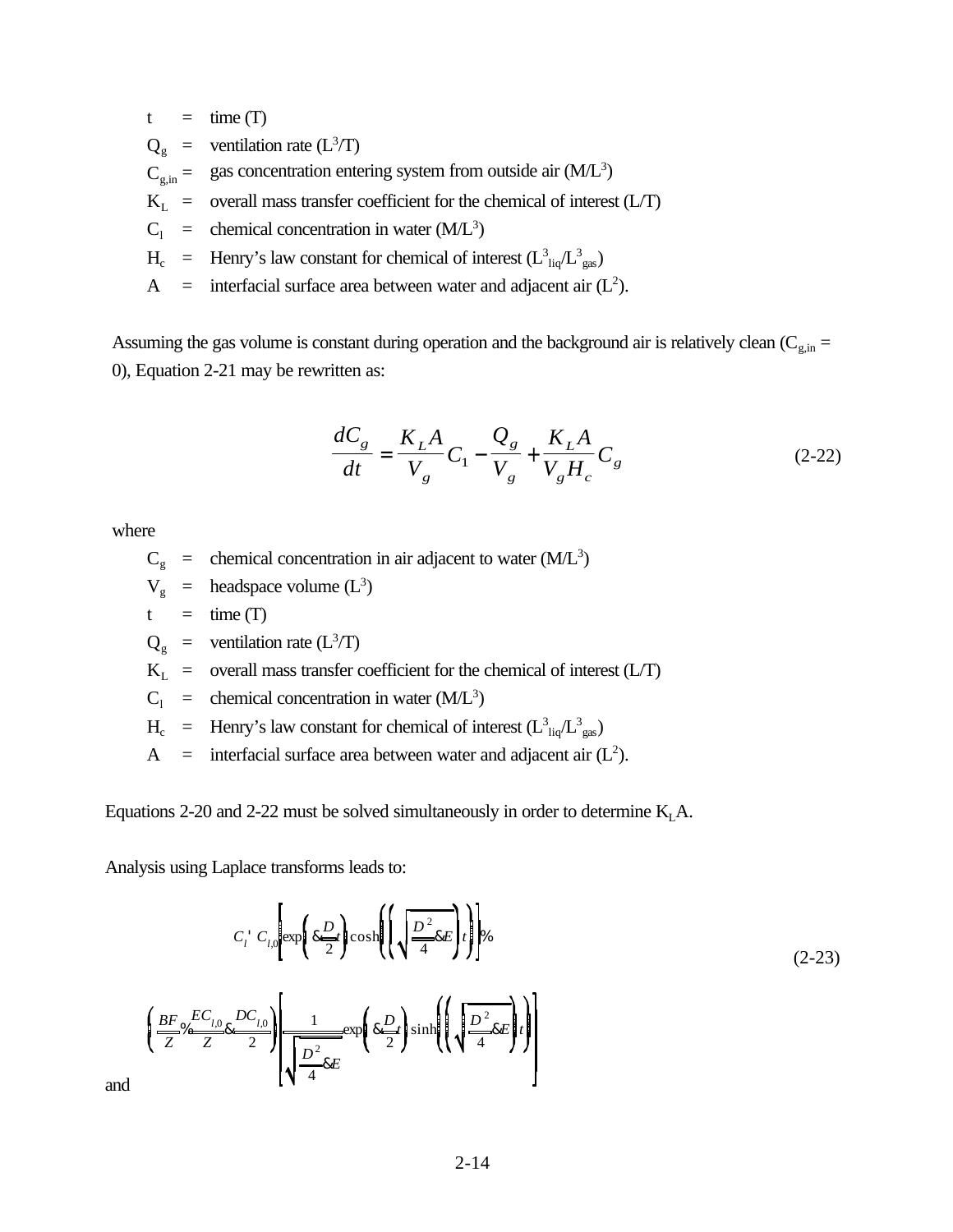$t = \text{time (T)}$ 

 $Q_g$  = ventilation rate (L<sup>3</sup>/T)

 $C_{\text{g,in}} =$  gas concentration entering system from outside air  $(M/L^3)$ 

 $K_L$  = overall mass transfer coefficient for the chemical of interest (L/T)

 $C_1$  = chemical concentration in water (M/L<sup>3</sup>)

 $H_c$  = Henry's law constant for chemical of interest  $(L_{liq}^3/L_{gas}^3)$ 

A = interfacial surface area between water and adjacent air  $(L<sup>2</sup>)$ .

Assuming the gas volume is constant during operation and the background air is relatively clean ( $C_{g,in}$  = 0), Equation 2-21 may be rewritten as:

$$
\frac{dC_g}{dt} = \frac{K_L A}{V_g} C_1 - \frac{Q_g}{V_g} + \frac{K_L A}{V_g H_c} C_g
$$
\n(2-22)

where

 $C_g$  = chemical concentration in air adjacent to water (M/L<sup>3</sup>)

$$
V_g
$$
 = headspace volume  $(L^3)$ 

 $t = \text{time (T)}$ 

$$
Q_g
$$
 = ventilation rate (L<sup>3</sup>/T)

 $K_L$  = overall mass transfer coefficient for the chemical of interest (L/T)

 $C_1$  = chemical concentration in water (M/L<sup>3</sup>)

 $H_c$  = Henry's law constant for chemical of interest  $(L_{liq}^3/L_{gas}^3)$ 

A = interfacial surface area between water and adjacent air  $(L<sup>2</sup>)$ .

Equations 2-20 and 2-22 must be solved simultaneously in order to determine  $K<sub>L</sub>A$ .

Analysis using Laplace transforms leads to:

$$
C_i C_{l,0} \exp\left\{ \frac{kD}{2} \right\} \cosh\left(\left\{\sqrt{\frac{D^2}{4} kE}t\right\}\right)\right\}
$$
\n
$$
\frac{BF_{\infty} EC_{l,0}}{Z} \frac{DC_{l,0}}{Z} \exp\left\{\frac{1}{2\exp\left\{\frac{kD}{2}t\right\} \sinh\left(\left\{\sqrt{\frac{D^2}{4} kE}t\right\}\right\}\right\}
$$
\n
$$
\left(\sqrt{\frac{D^2}{4} kE}t\right) \exp\left\{\frac{kD}{2}t\right\} \sinh\left(\left\{\sqrt{\frac{D^2}{4} kE}t\right\}\right)
$$
\n
$$
(2-23)
$$

and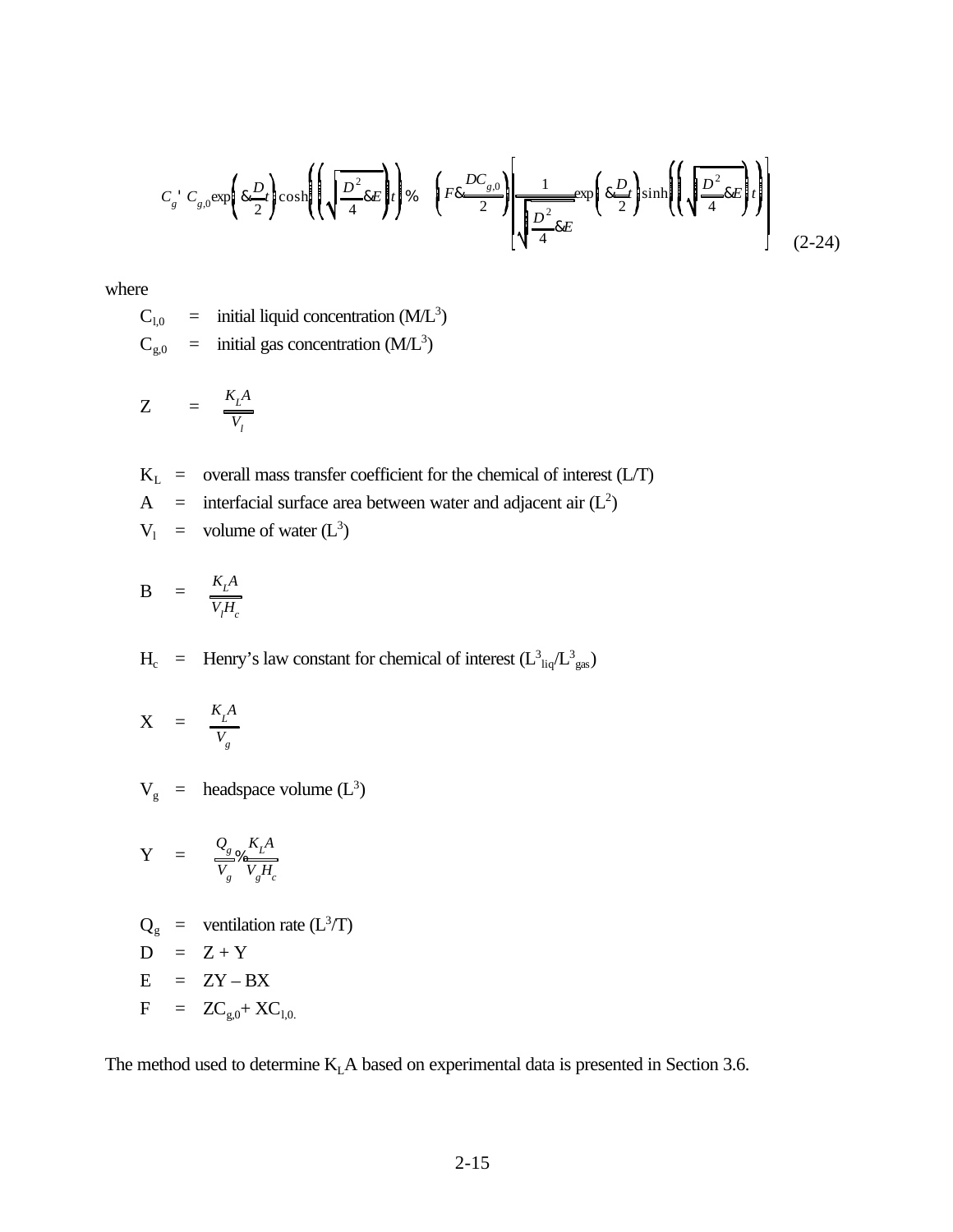$$
C_{g}^{+} C_{g,0} \exp\left(k \frac{D}{2} t\right) \cosh\left(\left(\sqrt{\frac{D^{2}}{4}} k E\right) t\right) \% \quad \left(F8 \frac{DC_{g,0}}{2}\right) \left[\frac{1}{\sqrt{\frac{D^{2}}{4}} k E} \exp\left(k \frac{D}{2} t\right) \sinh\left(\left(\sqrt{\frac{D^{2}}{4}} k E\right) t\right)\right]
$$
(2-24)

where

 $C_{1,0}$  = initial liquid concentration (M/L<sup>3</sup>)

 $C_{g,0}$  = initial gas concentration (M/L<sup>3</sup>)

$$
Z = \frac{K_L A}{V_l}
$$

 $K_L$  = overall mass transfer coefficient for the chemical of interest (L/T) A = interfacial surface area between water and adjacent air  $(L^2)$  $V_1$  = volume of water  $(L^3)$ 

$$
B = \frac{K_L A}{V_f H_c}
$$

 $H_c$  = Henry's law constant for chemical of interest  $(L_{liq}^3/L_{gas}^3)$ 

$$
X = \frac{K_L A}{V_g}
$$

 $V_g$  = headspace volume  $(L^3)$ 

$$
\mathbf{Y} = \frac{Q_{g}}{V_{g}} \frac{K_{L}A}{V_{g}H_{c}}
$$

$$
Q_g = \text{ventional} (L^3/T)
$$
  
D = Z + Y  
E = ZY - BX  
F = ZC<sub>g,0</sub>+ XC<sub>1,0</sub>

The method used to determine K<sub>L</sub>A based on experimental data is presented in Section 3.6.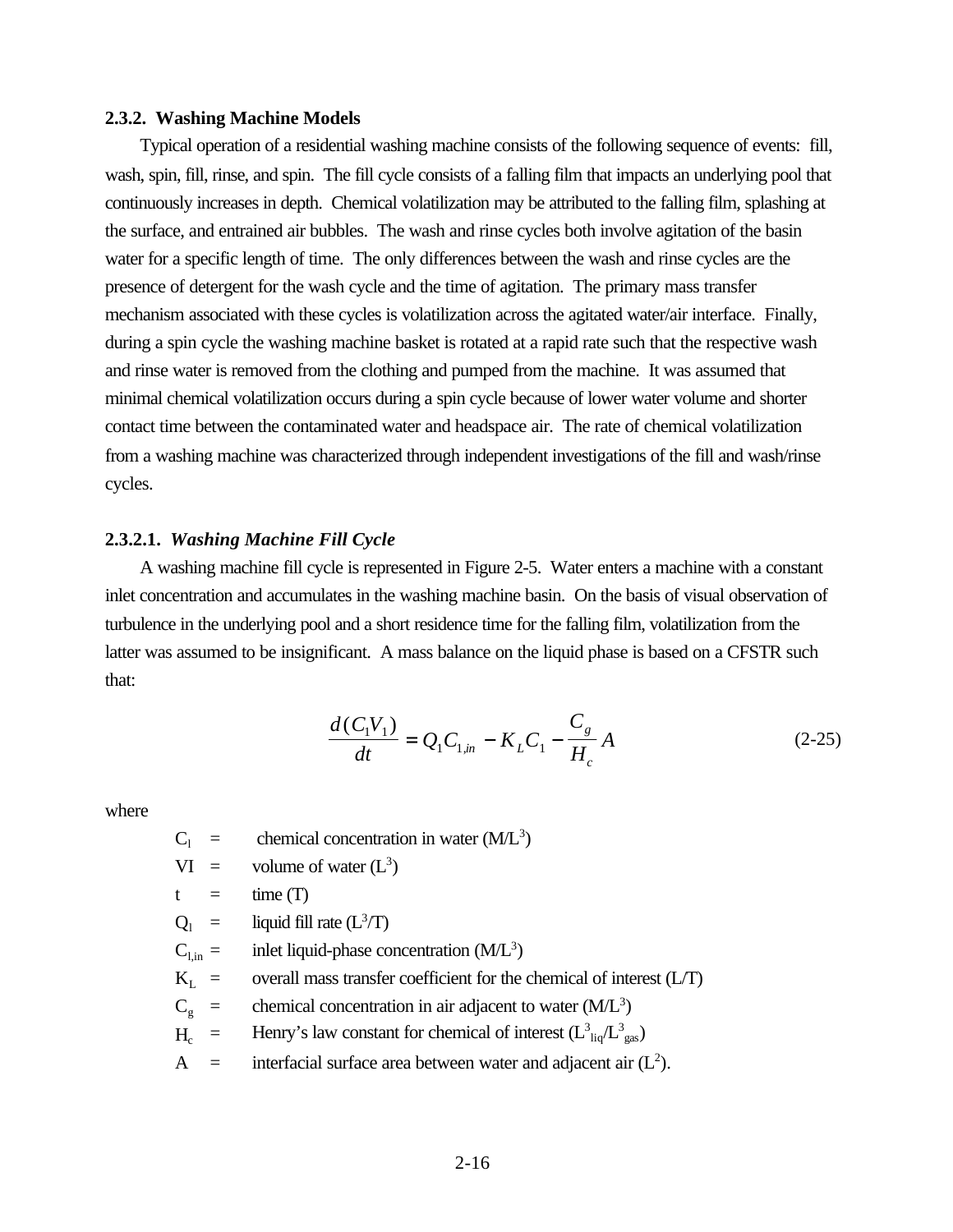## **2.3.2. Washing Machine Models**

Typical operation of a residential washing machine consists of the following sequence of events: fill, wash, spin, fill, rinse, and spin. The fill cycle consists of a falling film that impacts an underlying pool that continuously increases in depth. Chemical volatilization may be attributed to the falling film, splashing at the surface, and entrained air bubbles. The wash and rinse cycles both involve agitation of the basin water for a specific length of time. The only differences between the wash and rinse cycles are the presence of detergent for the wash cycle and the time of agitation. The primary mass transfer mechanism associated with these cycles is volatilization across the agitated water/air interface. Finally, during a spin cycle the washing machine basket is rotated at a rapid rate such that the respective wash and rinse water is removed from the clothing and pumped from the machine. It was assumed that minimal chemical volatilization occurs during a spin cycle because of lower water volume and shorter contact time between the contaminated water and headspace air. The rate of chemical volatilization from a washing machine was characterized through independent investigations of the fill and wash/rinse cycles.

## **2.3.2.1.** *Washing Machine Fill Cycle*

A washing machine fill cycle is represented in Figure 2-5. Water enters a machine with a constant inlet concentration and accumulates in the washing machine basin. On the basis of visual observation of turbulence in the underlying pool and a short residence time for the falling film, volatilization from the latter was assumed to be insignificant. A mass balance on the liquid phase is based on a CFSTR such that:

$$
\frac{d(C_1V_1)}{dt} = Q_1C_{1,in} - K_LC_1 - \frac{C_g}{H_c}A
$$
\n(2-25)

where

 $C_1$  = chemical concentration in water (M/L<sup>3</sup>)

 $VI =$  volume of water  $(L^3)$ 

 $t = \text{time (T)}$ 

$$
Q_1 = \text{liquid fill rate } (L^3/T)
$$

- $C_{1,in}$  = inlet liquid-phase concentration (M/L<sup>3</sup>)
- $K<sub>L</sub>$  = overall mass transfer coefficient for the chemical of interest (L/T)
- $C_g$  = chemical concentration in air adjacent to water (M/L<sup>3</sup>)
- $H_c$  = Henry's law constant for chemical of interest  $(L_{liq}^3/L_{gas}^3)$
- $A =$  interfacial surface area between water and adjacent air  $(L<sup>2</sup>)$ .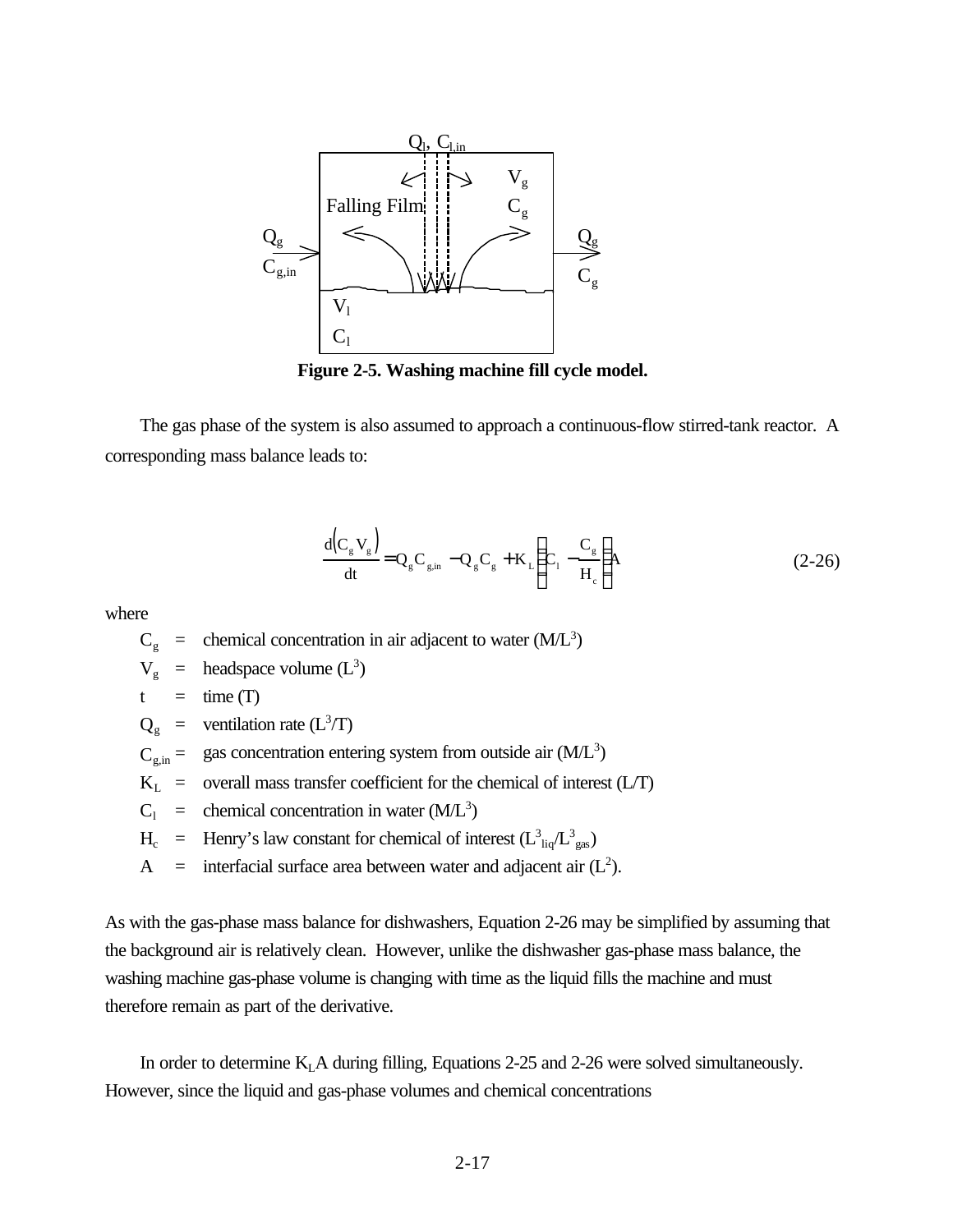

**Figure 2-5. Washing machine fill cycle model.**

The gas phase of the system is also assumed to approach a continuous-flow stirred-tank reactor. A corresponding mass balance leads to:

$$
\frac{d(C_g V_g)}{dt} = Q_g C_{g,in} - Q_g C_g + K_L \left( C_1 - \frac{C_g}{H_c} \right) A
$$
\n(2-26)

where

$$
C_g
$$
 = chemical concentration in air adjacent to water (M/L<sup>3</sup>)

$$
V_g
$$
 = headspace volume  $(L^3)$ 

 $t = \text{time (T)}$ 

- $Q_g$  = ventilation rate (L<sup>3</sup>/T)
- $C_{\text{g,in}} =$  gas concentration entering system from outside air  $(M/L^3)$
- $K_L$  = overall mass transfer coefficient for the chemical of interest (L/T)
- $C_1$  = chemical concentration in water (M/L<sup>3</sup>)
- $H_c$  = Henry's law constant for chemical of interest  $(L_{liq}^3/L_{gas}^3)$
- A = interfacial surface area between water and adjacent air  $(L<sup>2</sup>)$ .

As with the gas-phase mass balance for dishwashers, Equation 2-26 may be simplified by assuming that the background air is relatively clean. However, unlike the dishwasher gas-phase mass balance, the washing machine gas-phase volume is changing with time as the liquid fills the machine and must therefore remain as part of the derivative.

In order to determine  $K<sub>L</sub>A$  during filling, Equations 2-25 and 2-26 were solved simultaneously. However, since the liquid and gas-phase volumes and chemical concentrations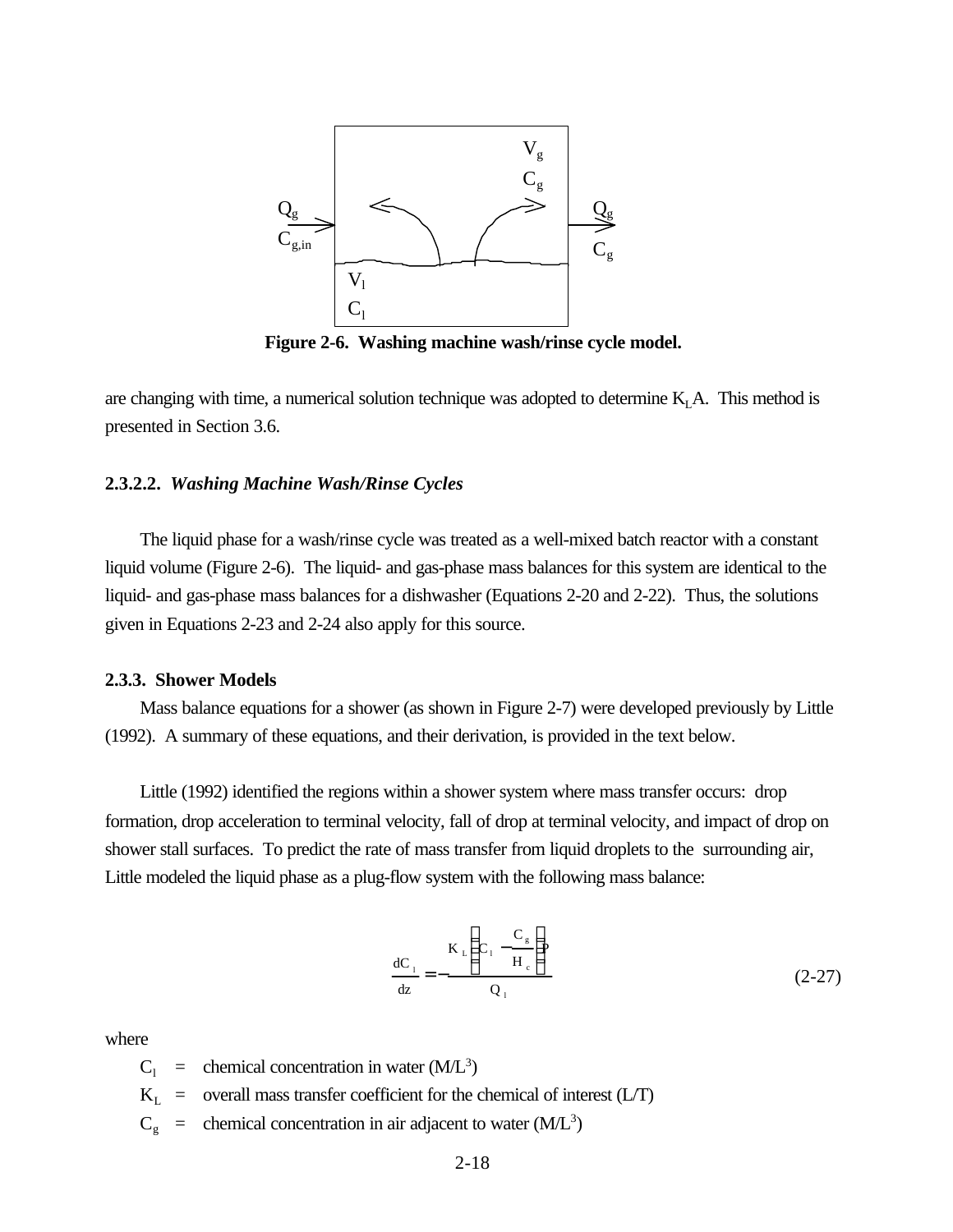

**Figure 2-6. Washing machine wash/rinse cycle model.**

are changing with time, a numerical solution technique was adopted to determine  $K<sub>L</sub>A$ . This method is presented in Section 3.6.

#### **2.3.2.2.** *Washing Machine Wash/Rinse Cycles*

The liquid phase for a wash/rinse cycle was treated as a well-mixed batch reactor with a constant liquid volume (Figure 2-6). The liquid- and gas-phase mass balances for this system are identical to the liquid- and gas-phase mass balances for a dishwasher (Equations 2-20 and 2-22). Thus, the solutions given in Equations 2-23 and 2-24 also apply for this source.

#### **2.3.3. Shower Models**

Mass balance equations for a shower (as shown in Figure 2-7) were developed previously by Little (1992). A summary of these equations, and their derivation, is provided in the text below.

Little (1992) identified the regions within a shower system where mass transfer occurs: drop formation, drop acceleration to terminal velocity, fall of drop at terminal velocity, and impact of drop on shower stall surfaces. To predict the rate of mass transfer from liquid droplets to the surrounding air, Little modeled the liquid phase as a plug-flow system with the following mass balance:

$$
\frac{dC_1}{dz} = -\frac{K_L \left( C_1 - \frac{C_g}{H_c} \right)}{Q_1}
$$
 (2-27)

where

 $C_1$  = chemical concentration in water (M/L<sup>3</sup>)

- $K_L$  = overall mass transfer coefficient for the chemical of interest (L/T)
- $C_g$  = chemical concentration in air adjacent to water (M/L<sup>3</sup>)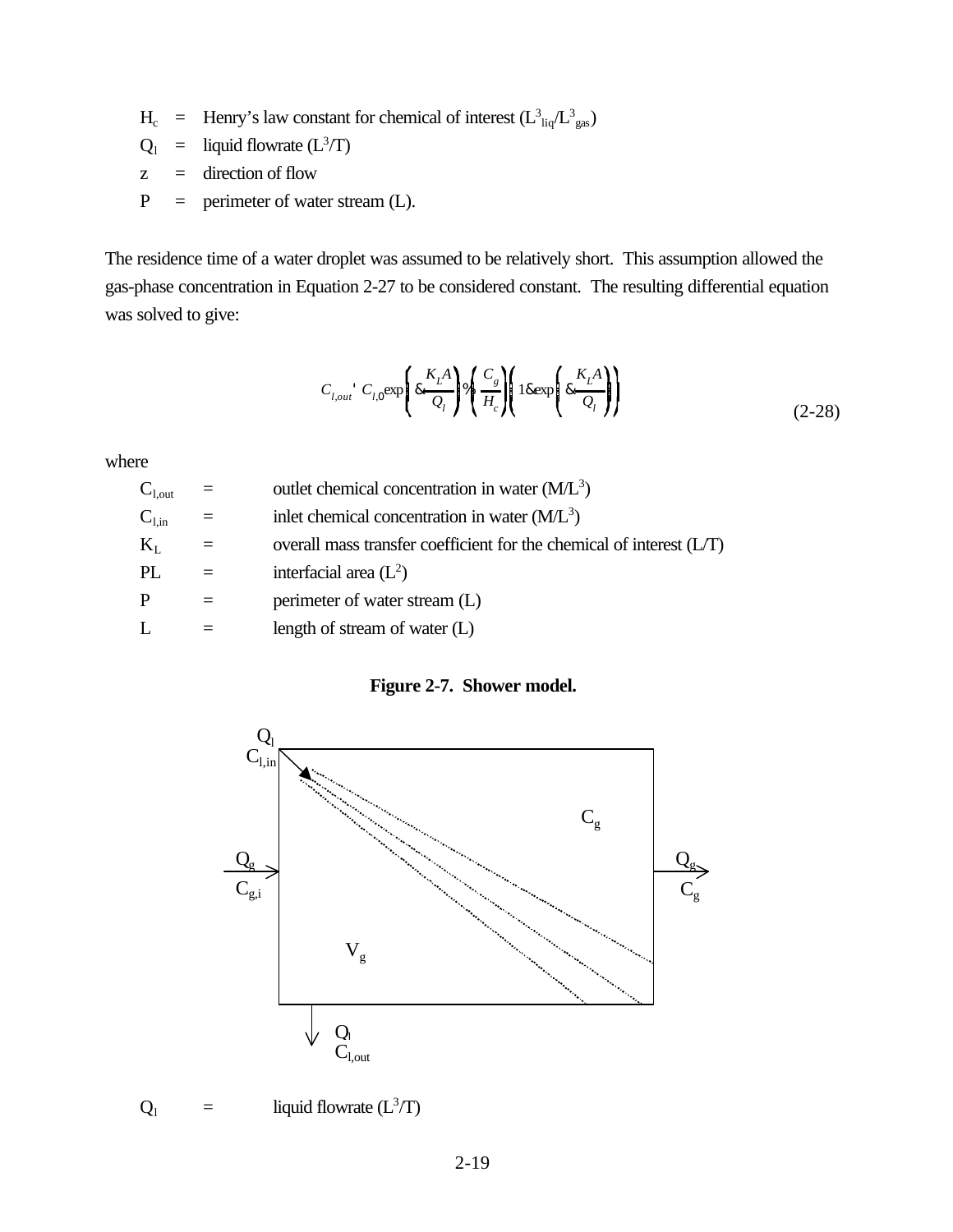$H_c$  = Henry's law constant for chemical of interest  $(L_{liq}^3/L_{gas}^3)$ 

- $Q_1$  = liquid flowrate  $(L^3/T)$
- z = direction of flow
- $P =$  perimeter of water stream (L).

The residence time of a water droplet was assumed to be relatively short. This assumption allowed the gas-phase concentration in Equation 2-27 to be considered constant. The resulting differential equation was solved to give:

$$
C_{l,out} C_{l,0} \exp\left(8 \frac{K_L A}{Q_l}\right) \sqrt[4]{\frac{C_s}{H_c}} \left(18 \exp\left(8 \frac{K_L A}{Q_l}\right)\right) \tag{2-28}
$$

where

| $C_{1,\text{out}}$  | outlet chemical concentration in water $(M/L3)$                       |
|---------------------|-----------------------------------------------------------------------|
| $\mathrm{C_{l,in}}$ | inlet chemical concentration in water $(M/L3)$                        |
| $\rm K_{L}$         | overall mass transfer coefficient for the chemical of interest $(LT)$ |
| PL                  | interfacial area $(L^2)$                                              |
| P                   | perimeter of water stream (L)                                         |
| L                   | length of stream of water $(L)$                                       |

**Figure 2-7. Shower model.**



$$
Q_1 = \text{liquid flow rate } (L^3/T)
$$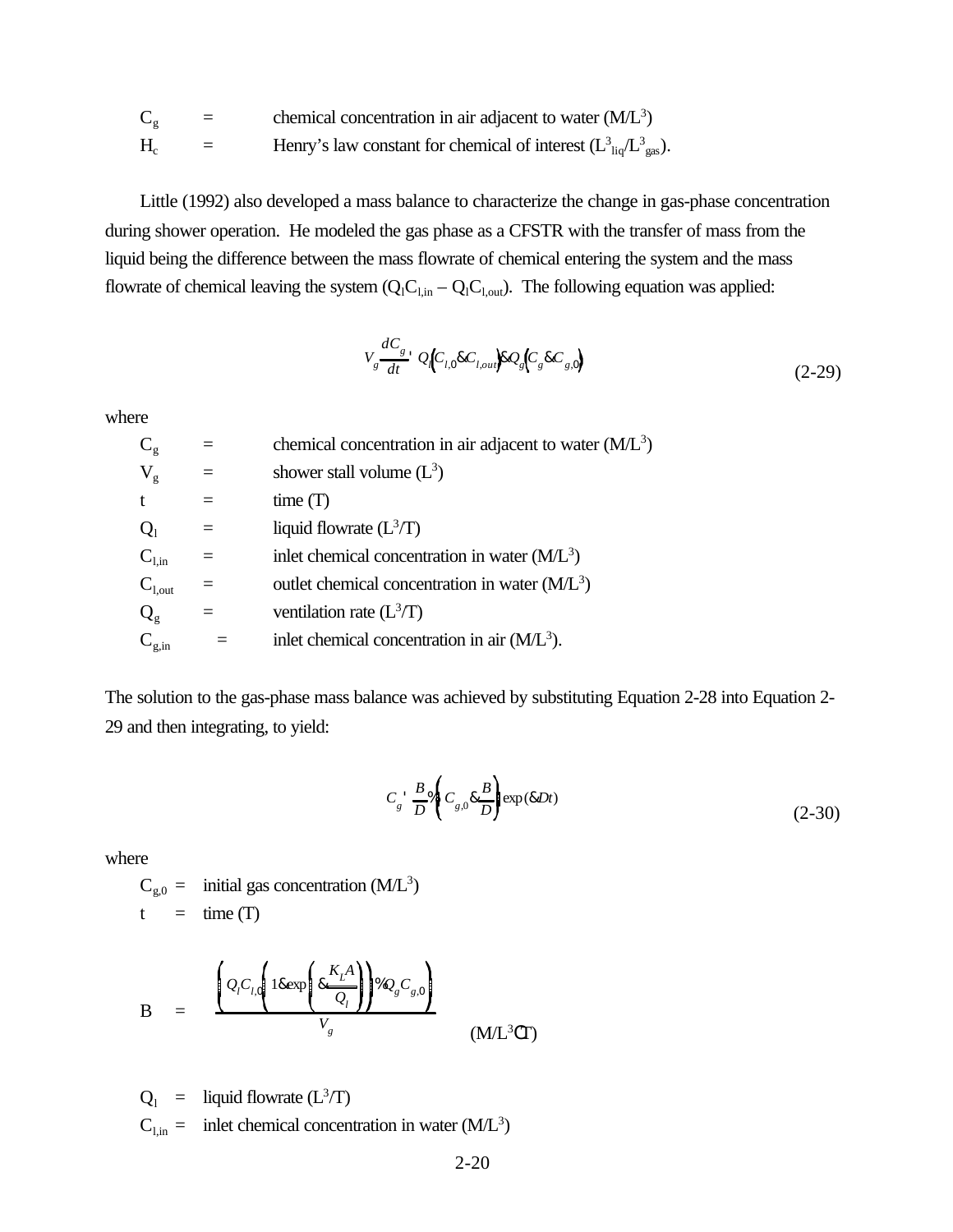| $\mathrm C_{\scriptscriptstyle\rm g}$ | $=$ | chemical concentration in air adjacent to water $(M/L3)$                              |
|---------------------------------------|-----|---------------------------------------------------------------------------------------|
| $H_{\!\scriptscriptstyle\rm c}$       |     | Henry's law constant for chemical of interest $(L_{\text{liq}}^3/L_{\text{gas}}^3)$ . |

Little (1992) also developed a mass balance to characterize the change in gas-phase concentration during shower operation. He modeled the gas phase as a CFSTR with the transfer of mass from the liquid being the difference between the mass flowrate of chemical entering the system and the mass flowrate of chemical leaving the system  $(Q_lC_{l,in} - Q_lC_{l,out})$ . The following equation was applied:

$$
V_g \frac{dC_g}{dt} \cdot Q_l \left( C_{l,0} \& C_{l,out} \right) \& Q_g \left( C_g \& C_{g,0} \right) \tag{2-29}
$$

where

| $\overline{\text{C}}_{\text{g}}$ |          | chemical concentration in air adjacent to water $(M/L3)$ |
|----------------------------------|----------|----------------------------------------------------------|
| $\rm V_{g}$                      | $=$      | shower stall volume $(L^3)$                              |
| t                                |          | time(T)                                                  |
| $Q_1$                            |          | liquid flowrate $(L^3/T)$                                |
| $\mathbf{C}_{\text{l,in}}$       | $=$      | inlet chemical concentration in water $(M/L3)$           |
| $C_{1, \text{out}}$              | $\equiv$ | outlet chemical concentration in water $(M/L3)$          |
| $Q_{\rm g}$                      |          | ventilation rate $(L^3/T)$                               |
| $\overline{C_{g,in}}$            |          | inlet chemical concentration in air $(M/L3)$ .           |
|                                  |          |                                                          |

The solution to the gas-phase mass balance was achieved by substituting Equation 2-28 into Equation 2- 29 and then integrating, to yield:

$$
C_g \stackrel{B}{\longrightarrow} \frac{B}{D} \mathcal{A} \left( C_{g,0} \& \frac{B}{D} \right) \exp(\& Dt) \tag{2-30}
$$

where

$$
C_{g,0} =
$$
 initial gas concentration (M/L<sup>3</sup>)  
t = time (T)

$$
B = \frac{\left(Q_{i}C_{l,0}\left(18 \exp\left(8 \frac{K_{L}A}{Q_{l}}\right)\right)\%Q_{g}C_{g,0}\right)}{V_{g}}
$$
(ML<sup>3</sup>CT)

$$
Q_1
$$
 = liquid flowrate (L<sup>3</sup>/T)  
C<sub>1,in</sub> = inlet chemical concentration in water (ML<sup>3</sup>)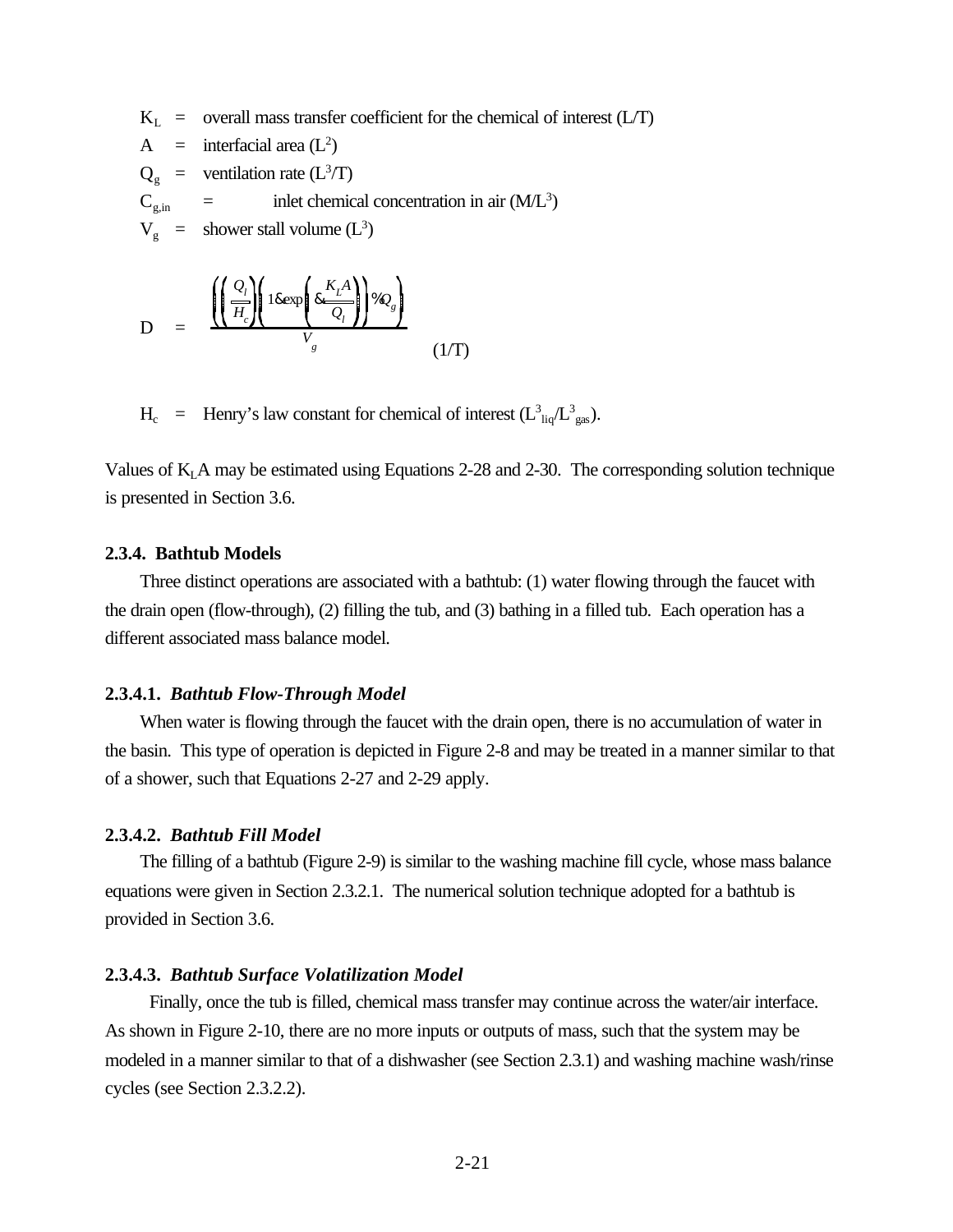$K_L$  = overall mass transfer coefficient for the chemical of interest (L/T)

A = interfacial area (L<sup>2</sup> ) Q<sup>g</sup> = ventilation rate (L<sup>3</sup> /T) Cg,in = inlet chemical concentration in air (M/L<sup>3</sup> ) V<sup>g</sup> = shower stall volume (L<sup>3</sup> )

$$
D = \frac{\left(\frac{Q_l}{H_c}\right)\left(18 \exp\left(8 \frac{K_L A}{Q_l}\right)\right) \% Q_s}{V_s}
$$
(1/T)

 $H_c$  = Henry's law constant for chemical of interest  $(L_{liq}^3/L_{gas}^3)$ .

Values of  $K<sub>L</sub>$  A may be estimated using Equations 2-28 and 2-30. The corresponding solution technique is presented in Section 3.6.

#### **2.3.4. Bathtub Models**

Three distinct operations are associated with a bathtub: (1) water flowing through the faucet with the drain open (flow-through), (2) filling the tub, and (3) bathing in a filled tub. Each operation has a different associated mass balance model.

#### **2.3.4.1.** *Bathtub Flow-Through Model*

When water is flowing through the faucet with the drain open, there is no accumulation of water in the basin. This type of operation is depicted in Figure 2-8 and may be treated in a manner similar to that of a shower, such that Equations 2-27 and 2-29 apply.

#### **2.3.4.2.** *Bathtub Fill Model*

The filling of a bathtub (Figure 2-9) is similar to the washing machine fill cycle, whose mass balance equations were given in Section 2.3.2.1. The numerical solution technique adopted for a bathtub is provided in Section 3.6.

## **2.3.4.3.** *Bathtub Surface Volatilization Model*

 Finally, once the tub is filled, chemical mass transfer may continue across the water/air interface. As shown in Figure 2-10, there are no more inputs or outputs of mass, such that the system may be modeled in a manner similar to that of a dishwasher (see Section 2.3.1) and washing machine wash/rinse cycles (see Section 2.3.2.2).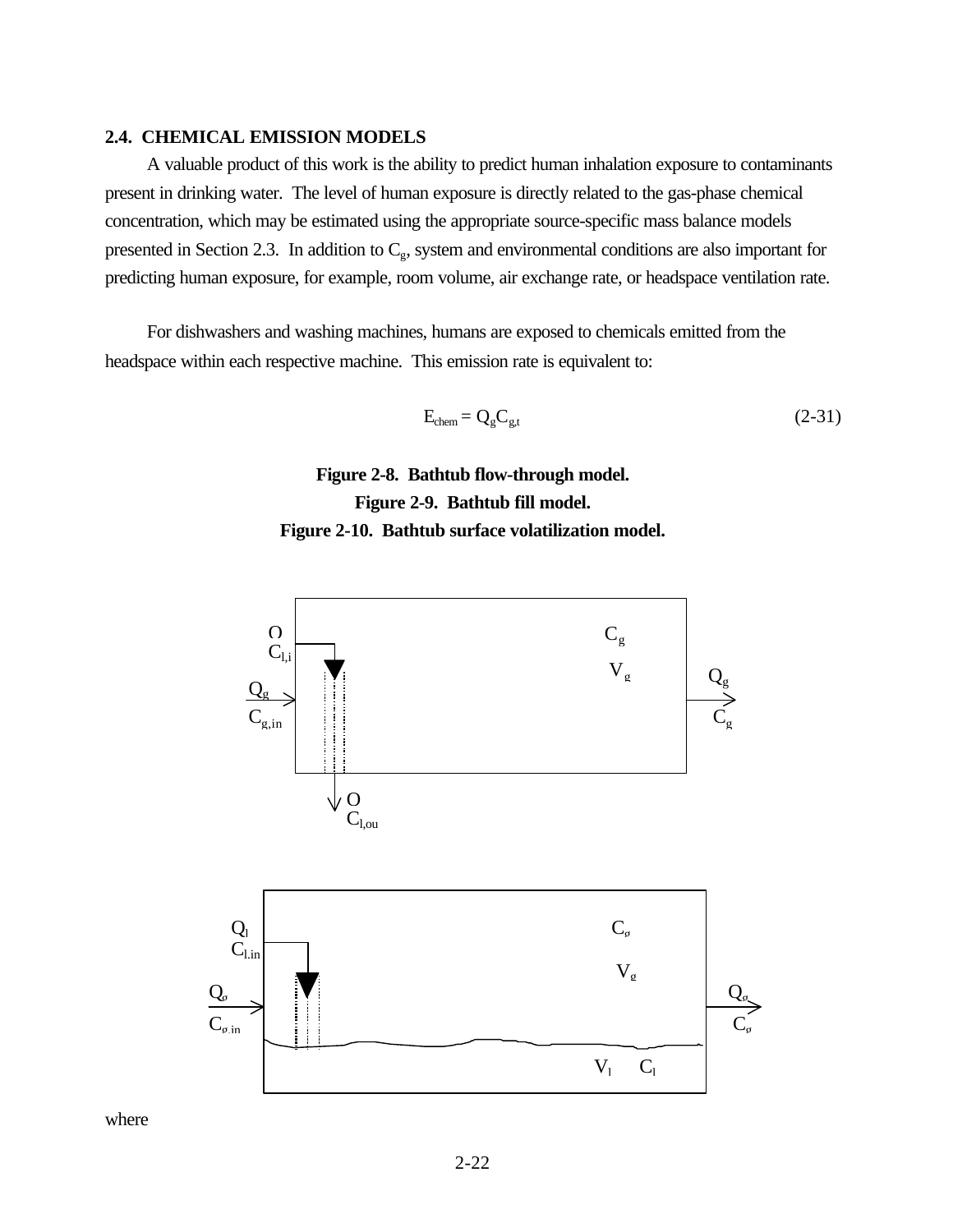## **2.4. CHEMICAL EMISSION MODELS**

A valuable product of this work is the ability to predict human inhalation exposure to contaminants present in drinking water. The level of human exposure is directly related to the gas-phase chemical concentration, which may be estimated using the appropriate source-specific mass balance models presented in Section 2.3. In addition to  $C_g$ , system and environmental conditions are also important for predicting human exposure, for example, room volume, air exchange rate, or headspace ventilation rate.

For dishwashers and washing machines, humans are exposed to chemicals emitted from the headspace within each respective machine. This emission rate is equivalent to:

$$
E_{chem} = Q_g C_{g,t} \tag{2-31}
$$

**Figure 2-8. Bathtub flow-through model. Figure 2-9. Bathtub fill model. Figure 2-10. Bathtub surface volatilization model.**



where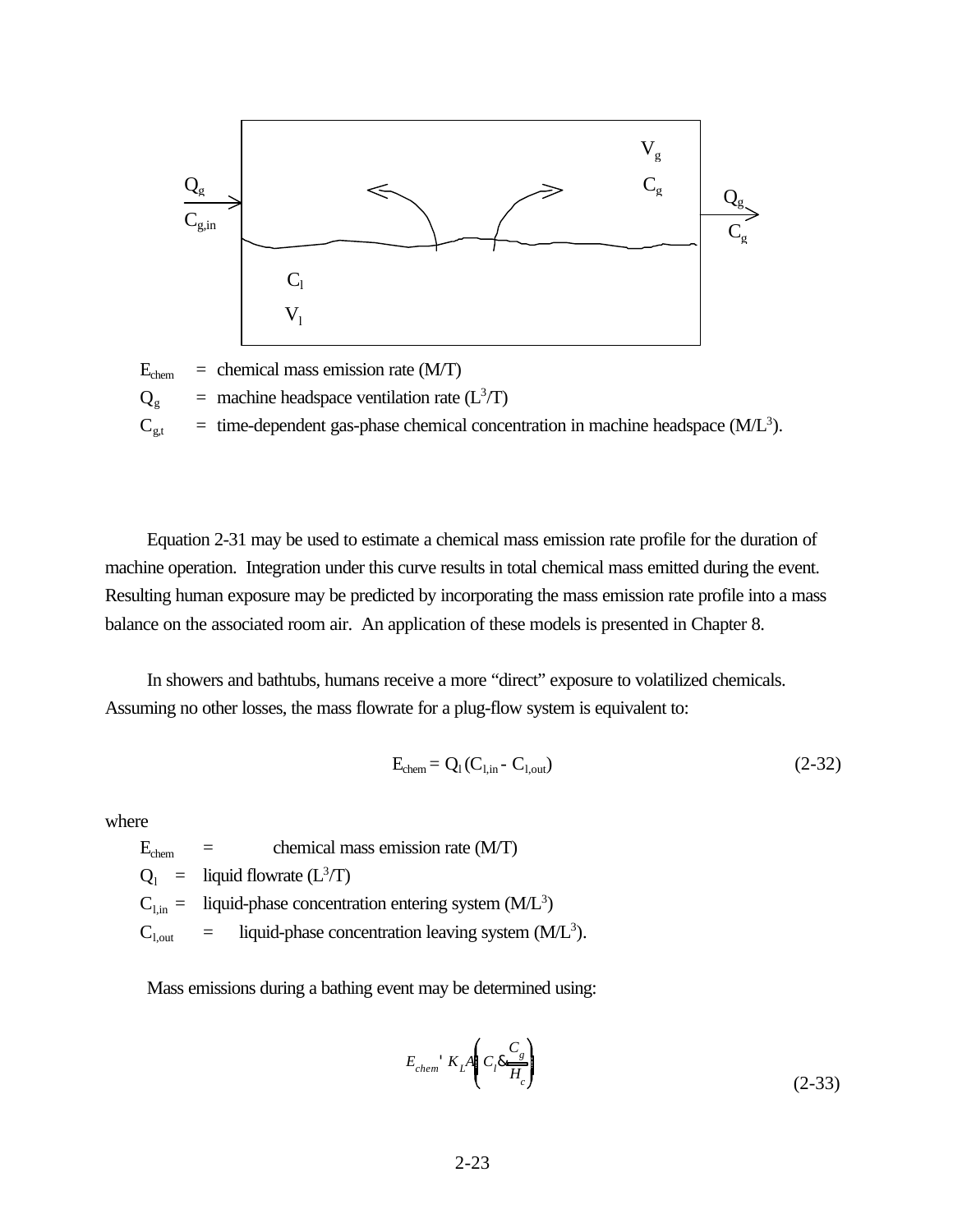

 $E<sub>chem</sub>$  = chemical mass emission rate (M/T)  $Q_g$  = machine headspace ventilation rate (L<sup>3</sup>/T)  $C_{gt}$  = time-dependent gas-phase chemical concentration in machine headspace (M/L<sup>3</sup>).

Equation 2-31 may be used to estimate a chemical mass emission rate profile for the duration of machine operation. Integration under this curve results in total chemical mass emitted during the event. Resulting human exposure may be predicted by incorporating the mass emission rate profile into a mass balance on the associated room air. An application of these models is presented in Chapter 8.

In showers and bathtubs, humans receive a more "direct" exposure to volatilized chemicals. Assuming no other losses, the mass flowrate for a plug-flow system is equivalent to:

$$
E_{\text{chem}} = Q_1 (C_{1,\text{in}} - C_{1,\text{out}}) \tag{2-32}
$$

where

 $E_{chem}$  = chemical mass emission rate (M/T)  $Q_1$  = liquid flowrate  $(L^3/T)$  $C_{l,in}$  = liquid-phase concentration entering system (M/L<sup>3</sup>)  $C_{1, \text{out}} =$  liquid-phase concentration leaving system (M/L<sup>3</sup>).

Mass emissions during a bathing event may be determined using:

$$
E_{chem} \propto L \frac{A}{H_c} \left( C_l \frac{C_g}{H_c} \right) \tag{2-33}
$$